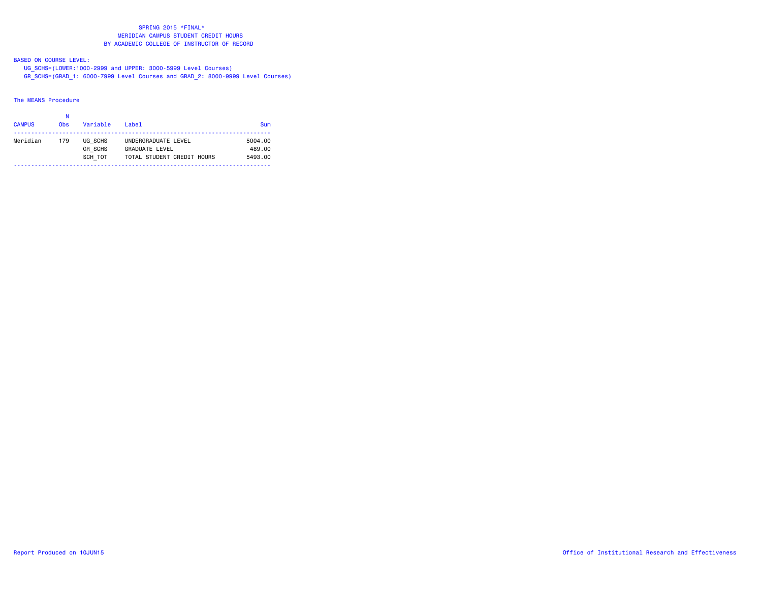BASED ON COURSE LEVEL:

UG\_SCHS=(LOWER:1000-2999 and UPPER: 3000-5999 Level Courses)

GR\_SCHS=(GRAD\_1: 6000-7999 Level Courses and GRAD\_2: 8000-9999 Level Courses)

# The MEANS Procedure

|               | Ν               |                |                            |            |
|---------------|-----------------|----------------|----------------------------|------------|
| <b>CAMPUS</b> | 0 <sub>bs</sub> | Variable       | $I$ ahel                   | <b>Sum</b> |
| Meridian      | 179             | UG SCHS        | UNDERGRADUATE LEVEL        | 5004.00    |
|               |                 | <b>GR SCHS</b> | <b>GRADUATE LEVEL</b>      | 489.00     |
|               |                 | SCH TOT        | TOTAL STUDENT CREDIT HOURS | 5493.00    |
|               |                 |                |                            |            |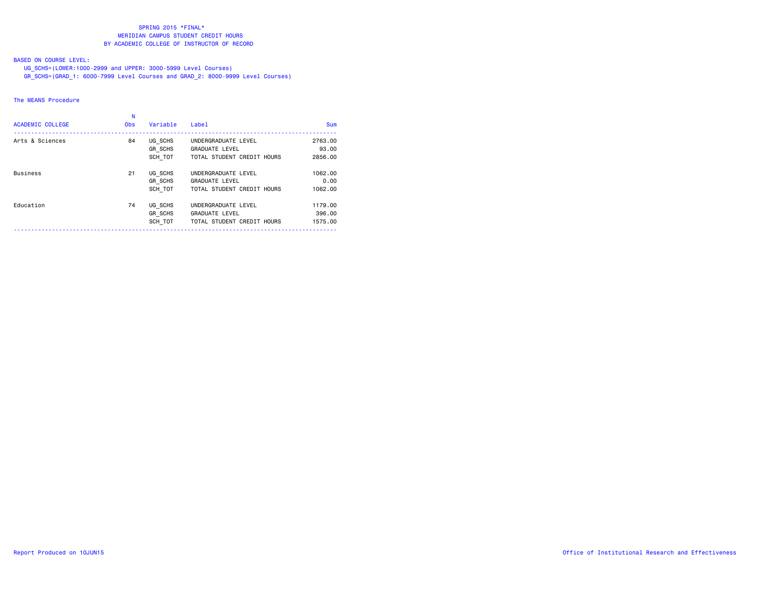# BASED ON COURSE LEVEL:

UG\_SCHS=(LOWER:1000-2999 and UPPER: 3000-5999 Level Courses)

GR\_SCHS=(GRAD\_1: 6000-7999 Level Courses and GRAD\_2: 8000-9999 Level Courses)

# The MEANS Procedure

| <b>ACADEMIC COLLEGE</b> | <b>Obs</b> | Variable                             | Label                                                                      | <b>Sum</b>                   |
|-------------------------|------------|--------------------------------------|----------------------------------------------------------------------------|------------------------------|
| Arts & Sciences         | 84         | UG SCHS<br>GR SCHS<br>SCH TOT        | UNDERGRADUATE LEVEL<br><b>GRADUATE LEVEL</b><br>TOTAL STUDENT CREDIT HOURS | 2763.00<br>93.00<br>2856.00  |
| <b>Business</b>         | 21         | UG SCHS<br>GR SCHS<br>SCH TOT        | UNDERGRADUATE LEVEL<br><b>GRADUATE LEVEL</b><br>TOTAL STUDENT CREDIT HOURS | 1062.00<br>0.00<br>1062.00   |
| Education               | 74         | UG SCHS<br><b>GR SCHS</b><br>SCH TOT | UNDERGRADUATE LEVEL<br><b>GRADUATE LEVEL</b><br>TOTAL STUDENT CREDIT HOURS | 1179.00<br>396.00<br>1575.00 |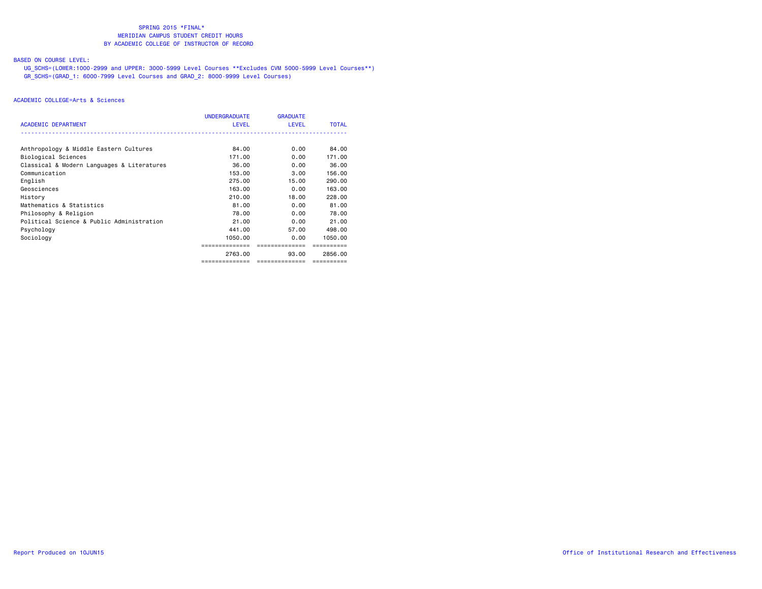# BASED ON COURSE LEVEL:

 UG\_SCHS=(LOWER:1000-2999 and UPPER: 3000-5999 Level Courses \*\*Excludes CVM 5000-5999 Level Courses\*\*) GR\_SCHS=(GRAD\_1: 6000-7999 Level Courses and GRAD\_2: 8000-9999 Level Courses)

| <b>ACADEMIC DEPARTMENT</b>                 | <b>UNDERGRADUATE</b><br><b>LEVEL</b> | <b>GRADUATE</b><br><b>LEVEL</b> | <b>TOTAL</b> |
|--------------------------------------------|--------------------------------------|---------------------------------|--------------|
|                                            |                                      |                                 |              |
| Anthropology & Middle Eastern Cultures     | 84.00                                | 0.00                            | 84.00        |
| Biological Sciences                        | 171.00                               | 0.00                            | 171.00       |
| Classical & Modern Languages & Literatures | 36.00                                | 0.00                            | 36.00        |
| Communication                              | 153,00                               | 3.00                            | 156.00       |
| English                                    | 275.00                               | 15.00                           | 290.00       |
| Geosciences                                | 163.00                               | 0.00                            | 163,00       |
| History                                    | 210.00                               | 18.00                           | 228,00       |
| Mathematics & Statistics                   | 81.00                                | 0.00                            | 81.00        |
| Philosophy & Religion                      | 78.00                                | 0.00                            | 78.00        |
| Political Science & Public Administration  | 21.00                                | 0.00                            | 21,00        |
| Psychology                                 | 441.00                               | 57.00                           | 498.00       |
| Sociology                                  | 1050.00                              | 0.00                            | 1050.00      |
|                                            |                                      | ============                    |              |
|                                            | 2763.00                              | 93.00                           | 2856.00      |
|                                            | ==============                       | ==============                  | ==========   |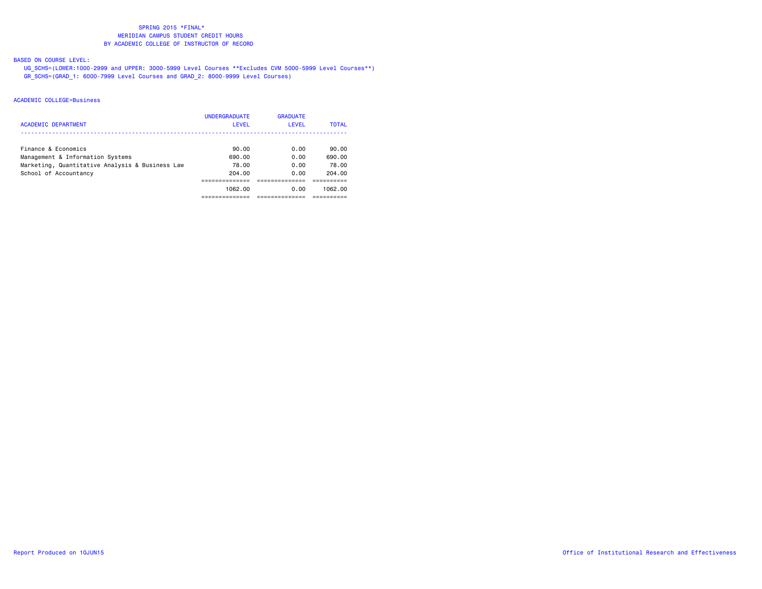# BASED ON COURSE LEVEL:

 UG\_SCHS=(LOWER:1000-2999 and UPPER: 3000-5999 Level Courses \*\*Excludes CVM 5000-5999 Level Courses\*\*) GR\_SCHS=(GRAD\_1: 6000-7999 Level Courses and GRAD\_2: 8000-9999 Level Courses)

| <b>ACADEMIC DEPARTMENT</b>                      | <b>UNDERGRADUATE</b><br><b>LEVEL</b> | <b>GRADUATE</b><br>LEVEL | TOTAL   |
|-------------------------------------------------|--------------------------------------|--------------------------|---------|
| Finance & Economics                             | 90.00                                | 0.00                     | 90.00   |
| Management & Information Systems                | 690.00                               | 0.00                     | 690.00  |
| Marketing, Quantitative Analysis & Business Law | 78.00                                | 0.00                     | 78.00   |
| School of Accountancy                           | 204.00                               | 0.00                     | 204.00  |
|                                                 |                                      |                          |         |
|                                                 | 1062.00                              | 0.00                     | 1062.00 |
|                                                 |                                      |                          |         |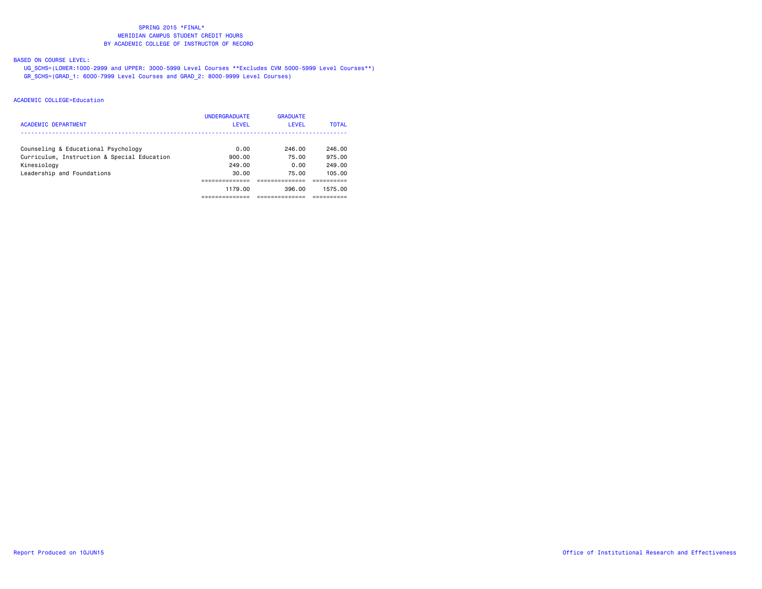# BASED ON COURSE LEVEL:

 UG\_SCHS=(LOWER:1000-2999 and UPPER: 3000-5999 Level Courses \*\*Excludes CVM 5000-5999 Level Courses\*\*) GR\_SCHS=(GRAD\_1: 6000-7999 Level Courses and GRAD\_2: 8000-9999 Level Courses)

| ACADEMIC DEPARTMENT                         | <b>UNDERGRADUATE</b><br>LEVEL | <b>GRADUATE</b><br>LEVEL | <b>TOTAL</b> |
|---------------------------------------------|-------------------------------|--------------------------|--------------|
| Counseling & Educational Psychology         | 0.00                          | 246.00                   | 246.00       |
| Curriculum, Instruction & Special Education | 900.00                        | 75.00                    | 975.00       |
| Kinesiology                                 | 249.00                        | 0.00                     | 249.00       |
| Leadership and Foundations                  | 30.00                         | 75.00                    | 105.00       |
|                                             |                               |                          |              |
|                                             | 1179.00                       | 396.00                   | 1575.00      |
|                                             |                               |                          |              |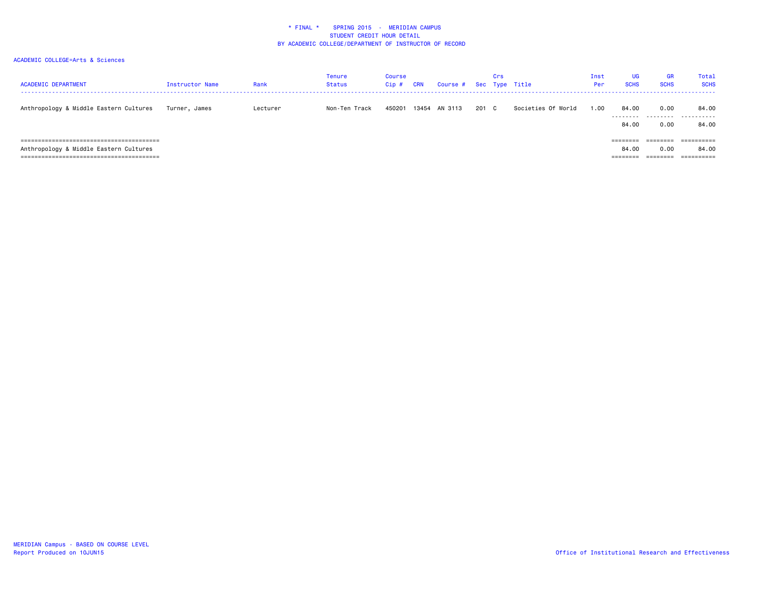| <b>ACADEMIC DEPARTMENT</b>             | Instructor Name | Rank     | <b>Tenure</b><br>Status | Course<br>Cip# | <b>CRN</b> | Course # Sec Type Title |       | Crs |                    | Inst<br>Per | UG<br><b>SCHS</b>  | <b>GR</b><br><b>SCHS</b> | <b>Total</b><br><b>SCHS</b> |
|----------------------------------------|-----------------|----------|-------------------------|----------------|------------|-------------------------|-------|-----|--------------------|-------------|--------------------|--------------------------|-----------------------------|
| Anthropology & Middle Eastern Cultures | Turner, James   | Lecturer | Non-Ten Track           | 450201         | 13454      | AN 3113                 | 201 C |     | Societies Of World | 1.00        | 84.00              | 0.00                     | 84.00<br>                   |
|                                        |                 |          |                         |                |            |                         |       |     |                    |             | ---------<br>84.00 | 0.00                     | 84.00                       |
| ;==================================    |                 |          |                         |                |            |                         |       |     |                    |             | ========           |                          |                             |
| Anthropology & Middle Eastern Cultures |                 |          |                         |                |            |                         |       |     |                    |             | 84.00              | 0.00                     | 84.00                       |
|                                        |                 |          |                         |                |            |                         |       |     |                    |             | --------           | _______<br>--------      | -----------                 |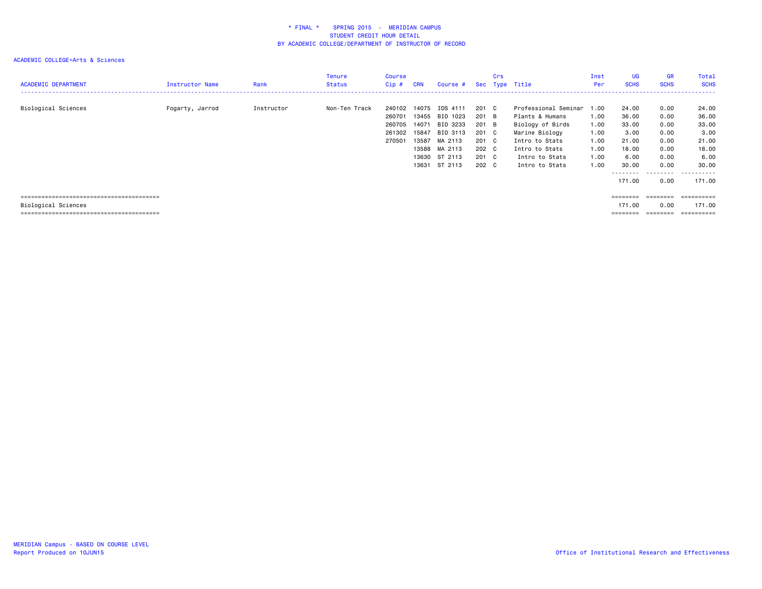| <b>ACADEMIC DEPARTMENT</b> | Instructor Name | Rank       | <b>Tenure</b><br><b>Status</b> | Course<br>$Cip$ #                              | <b>CRN</b>                                         | Course #                                                           |                                                    | Crs | Sec Type Title                                                                                                         | Inst<br>Per                          | <b>UG</b><br><b>SCHS</b>                                                                      | <b>GR</b><br><b>SCHS</b>                     | Total<br><b>SCHS</b><br>------                    |
|----------------------------|-----------------|------------|--------------------------------|------------------------------------------------|----------------------------------------------------|--------------------------------------------------------------------|----------------------------------------------------|-----|------------------------------------------------------------------------------------------------------------------------|--------------------------------------|-----------------------------------------------------------------------------------------------|----------------------------------------------|---------------------------------------------------|
| Biological Sciences        | Fogarty, Jarrod | Instructor | Non-Ten Track                  | 240102<br>260701<br>260705<br>261302<br>270501 | 14075<br>13455<br>14071<br>15847<br>13587<br>13588 | IDS 4111<br>BIO 1023<br>BIO 3233<br>BIO 3113<br>MA 2113<br>MA 2113 | 201 C<br>201 B<br>201 B<br>201 C<br>201 C<br>202 C |     | Professional Seminar 1.00<br>Plants & Humans<br>Biology of Birds<br>Marine Biology<br>Intro to Stats<br>Intro to Stats | 1.00<br>1.00<br>1.00<br>1.00<br>1.00 | 24.00<br>36.00<br>33.00<br>3.00<br>21.00<br>18.00                                             | 0.00<br>0.00<br>0.00<br>0.00<br>0.00<br>0.00 | 24.00<br>36.00<br>33.00<br>3.00<br>21.00<br>18.00 |
|                            |                 |            |                                |                                                | 13630<br>13631                                     | ST 2113<br>ST 2113                                                 | 201 C<br>202 C                                     |     | Intro to Stats<br>Intro to Stats                                                                                       | 1.00<br>1.00                         | 6.00<br>30.00<br>--------<br>171.00                                                           | 0.00<br>0.00<br>---------<br>0.00            | 6.00<br>30.00<br>.<br>171.00                      |
| Biological Sciences        |                 |            |                                |                                                |                                                    |                                                                    |                                                    |     |                                                                                                                        |                                      | $\qquad \qquad \equiv \equiv \equiv \equiv \equiv \equiv \equiv \equiv$<br>171.00<br>======== | ========<br>0.00<br>========                 | ==========<br>171.00<br>==========                |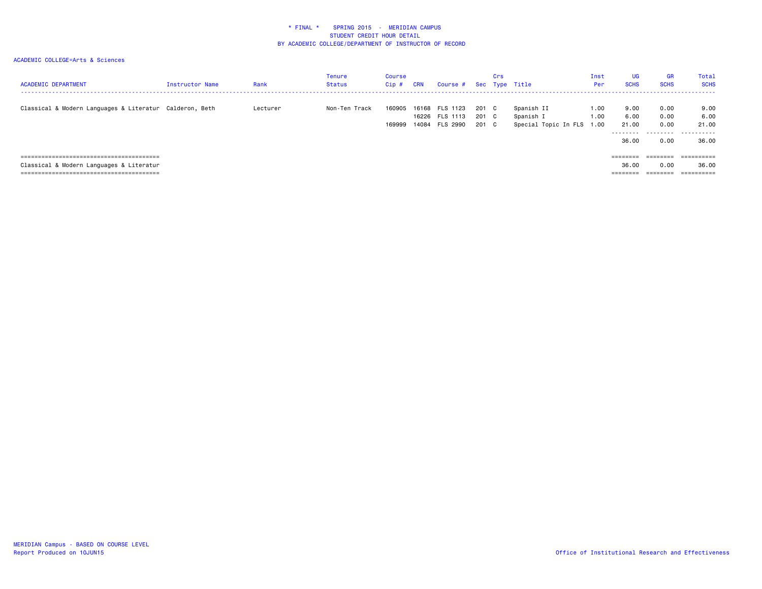## ACADEMIC COLLEGE=Arts & Sciences

| <b>ACADEMIC DEPARTMENT</b>                              | Instructor Name | Rank     | Tenure<br><b>Status</b> | Course<br>$Cip$ # | <b>CRN</b> | Course # Sec Type Title                            |                         | Crs |                                                      | Inst<br>Per  | <b>UG</b><br><b>SCHS</b>                    | <b>GR</b><br><b>SCHS</b>          | Total<br><b>SCHS</b>                |
|---------------------------------------------------------|-----------------|----------|-------------------------|-------------------|------------|----------------------------------------------------|-------------------------|-----|------------------------------------------------------|--------------|---------------------------------------------|-----------------------------------|-------------------------------------|
| Classical & Modern Languages & Literatur Calderon, Beth |                 | Lecturer | Non-Ten Track           | 160905<br>169999  |            | 16168 FLS 1123<br>16226 FLS 1113<br>14084 FLS 2990 | 201 C<br>201 C<br>201 C |     | Spanish II<br>Spanish I<br>Special Topic In FLS 1.00 | 1.00<br>1.00 | 9.00<br>6.00<br>21.00<br>---------<br>36.00 | 0.00<br>0.00<br>0.00<br>.<br>0.00 | 9.00<br>6.00<br>21.00<br>.<br>36.00 |
|                                                         |                 |          |                         |                   |            |                                                    |                         |     |                                                      |              | ========                                    | ________<br>--------              | ----------<br>----------            |
| Classical & Modern Languages & Literatur                |                 |          |                         |                   |            |                                                    |                         |     |                                                      |              | 36.00                                       | 0.00                              | 36.00                               |
|                                                         |                 |          |                         |                   |            |                                                    |                         |     |                                                      |              | ========                                    |                                   |                                     |

MERIDIAN Campus - BASED ON COURSE LEVEL<br>Report Produced on 10JUN15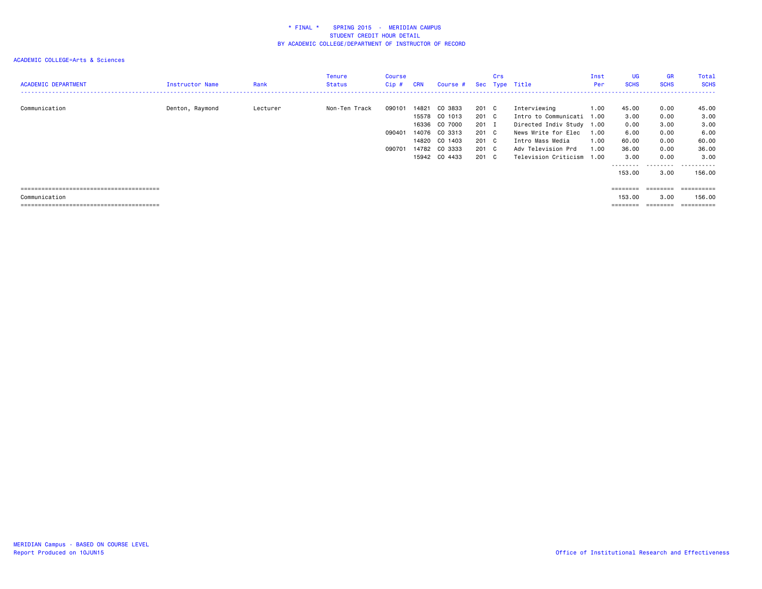## ACADEMIC COLLEGE=Arts & Sciences

| <b>ACADEMIC DEPARTMENT</b> | Instructor Name | Rank     | Tenure<br>Status | Course<br>Cip# | CRN            | Course #      |                | Crs | Sec Type Title                       | Inst<br>Per  | <b>UG</b><br><b>SCHS</b> | <b>GR</b><br><b>SCHS</b> | Total<br><b>SCHS</b> |
|----------------------------|-----------------|----------|------------------|----------------|----------------|---------------|----------------|-----|--------------------------------------|--------------|--------------------------|--------------------------|----------------------|
|                            |                 |          |                  |                |                | CO 3833       |                |     |                                      |              |                          |                          |                      |
| Communication              | Denton, Raymond | Lecturer | Non-Ten Track    | 090101         | 14821<br>15578 | CO 1013       | 201 C<br>201 C |     | Interviewing<br>Intro to Communicati | 1.00<br>1.00 | 45.00<br>3.00            | 0.00<br>0.00             | 45.00<br>3,00        |
|                            |                 |          |                  |                | 16336          | CO 7000       | 201 I          |     | Directed Indiv Study 1.00            |              | 0.00                     | 3.00                     | 3.00                 |
|                            |                 |          |                  | 090401         | 14076          | CO 3313       | 201 C          |     | News Write for Elec                  | 1.00         | 6.00                     | 0.00                     | 6.00                 |
|                            |                 |          |                  |                |                |               |                |     |                                      |              |                          |                          |                      |
|                            |                 |          |                  |                | 14820          | CO 1403       | 201 C          |     | Intro Mass Media                     | 1.00         | 60.00                    | 0.00                     | 60.00                |
|                            |                 |          |                  | 090701         | 14782          | CO 3333       | 201 C          |     | Adv Television Prd                   | 1.00         | 36.00                    | 0.00                     | 36.00                |
|                            |                 |          |                  |                |                | 15942 CO 4433 | 201 C          |     | Television Criticism                 | 1.00         | 3.00                     | 0.00                     | 3.00                 |
|                            |                 |          |                  |                |                |               |                |     |                                      |              |                          |                          | .                    |
|                            |                 |          |                  |                |                |               |                |     |                                      |              | 153.00                   | 3.00                     | 156.00               |
|                            |                 |          |                  |                |                |               |                |     |                                      |              | ========                 | $=$ = = = = = = =        | __________           |
|                            |                 |          |                  |                |                |               |                |     |                                      |              |                          |                          | ----------           |
| Communication              |                 |          |                  |                |                |               |                |     |                                      |              | 153,00                   | 3.00                     | 156,00               |

 $\begin{tabular}{lllllllllllll} \multicolumn{2}{l}{{\color{red}\textbf{}}}\end{tabular} \begin{tabular}{lllllllll} \multicolumn{2}{l}{\color{blue}\textbf{}}\end{tabular} \begin{tabular}{lllllllllllllll} \multicolumn{2}{l}{\color{blue}\textbf{}}\end{tabular} \begin{tabular}{lllllllllllllllllll} \multicolumn{2}{l}{\color{blue}\textbf{}}\end{tabular} \begin{tabular}{lllllllllllllllllllll} \multicolumn{2}{l}{\color{blue}\textbf{}}\end{tabular} \begin{tabular}{llllllllllllllllllllllllllllllllll$ 

======================================== ======== ======== ==========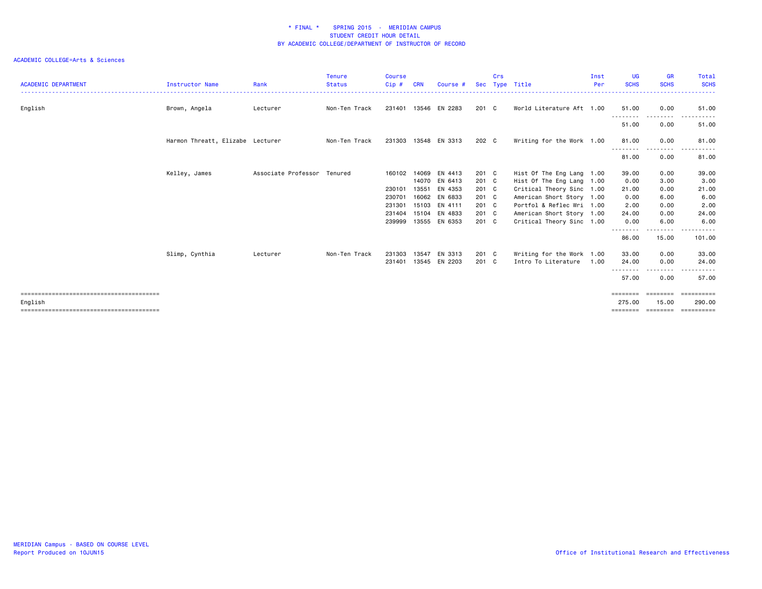| <b>ACADEMIC DEPARTMENT</b> | <b>Instructor Name</b>           | Rank                        | <b>Tenure</b><br><b>Status</b> | <b>Course</b><br>Cip# | <b>CRN</b>     | Course #           |                | Crs | Sec Type Title                                         | Inst<br>Per | <b>UG</b><br><b>SCHS</b> | <b>GR</b><br><b>SCHS</b>        | Total<br><b>SCHS</b> |
|----------------------------|----------------------------------|-----------------------------|--------------------------------|-----------------------|----------------|--------------------|----------------|-----|--------------------------------------------------------|-------------|--------------------------|---------------------------------|----------------------|
| English                    | Brown, Angela                    | Lecturer                    | Non-Ten Track                  | 231401                |                | 13546 EN 2283      | 201 C          |     | World Literature Aft 1.00                              |             | 51.00                    | 0.00                            | 51.00                |
|                            |                                  |                             |                                |                       |                |                    |                |     |                                                        |             | .<br>51.00               | --------<br>0.00                | 51.00                |
|                            | Harmon Threatt, Elizabe Lecturer |                             | Non-Ten Track                  | 231303                |                | 13548 EN 3313      | 202 C          |     | Writing for the Work 1.00                              |             | 81.00                    | 0.00                            | 81.00                |
|                            |                                  |                             |                                |                       |                |                    |                |     |                                                        |             | .<br>81.00               | .<br>0.00                       | 81.00                |
|                            | Kelley, James                    | Associate Professor Tenured |                                | 160102                | 14069          | EN 4413            | 201 C          |     | Hist Of The Eng Lang 1.00                              |             | 39.00                    | 0.00                            | 39.00                |
|                            |                                  |                             |                                | 230101                | 14070<br>13551 | EN 6413<br>EN 4353 | 201 C<br>201 C |     | Hist Of The Eng Lang 1.00<br>Critical Theory Sinc 1.00 |             | 0.00<br>21.00            | 3.00<br>0.00                    | 3.00<br>21.00        |
|                            |                                  |                             |                                | 230701                | 16062          | EN 6833            | 201 C          |     | American Short Story 1.00                              |             | 0.00                     | 6.00                            | 6.00                 |
|                            |                                  |                             |                                | 231301                | 15103          | EN 4111            | 201 C          |     | Portfol & Reflec Wri 1.00                              |             | 2.00                     | 0.00                            | 2.00                 |
|                            |                                  |                             |                                | 231404                | 15104          | EN 4833            | 201 C          |     | American Short Story 1.00                              |             | 24.00                    | 0.00                            | 24.00                |
|                            |                                  |                             |                                | 239999                |                | 13555 EN 6353      | 201 C          |     | Critical Theory Sinc 1.00                              |             | 0.00                     | 6.00                            | 6.00                 |
|                            |                                  |                             |                                |                       |                |                    |                |     |                                                        |             | .<br>86.00               | $\cdots \cdots \cdots$<br>15.00 | .<br>101.00          |
|                            | Slimp, Cynthia                   | Lecturer                    | Non-Ten Track                  | 231303                | 13547          | EN 3313            | 201 C          |     | Writing for the Work 1.00                              |             | 33.00                    | 0.00                            | 33.00                |
|                            |                                  |                             |                                | 231401                |                | 13545 EN 2203      | 201 C          |     | Intro To Literature                                    | 1.00        | 24.00                    | 0.00<br>.                       | 24.00                |
|                            |                                  |                             |                                |                       |                |                    |                |     |                                                        |             | 57.00                    | 0.00                            | 57.00                |
|                            |                                  |                             |                                |                       |                |                    |                |     |                                                        |             | ========                 | ========                        | ==========           |
| English                    |                                  |                             |                                |                       |                |                    |                |     |                                                        |             | 275.00                   | 15.00                           | 290.00               |
|                            |                                  |                             |                                |                       |                |                    |                |     |                                                        |             | ========                 | ========                        | ==========           |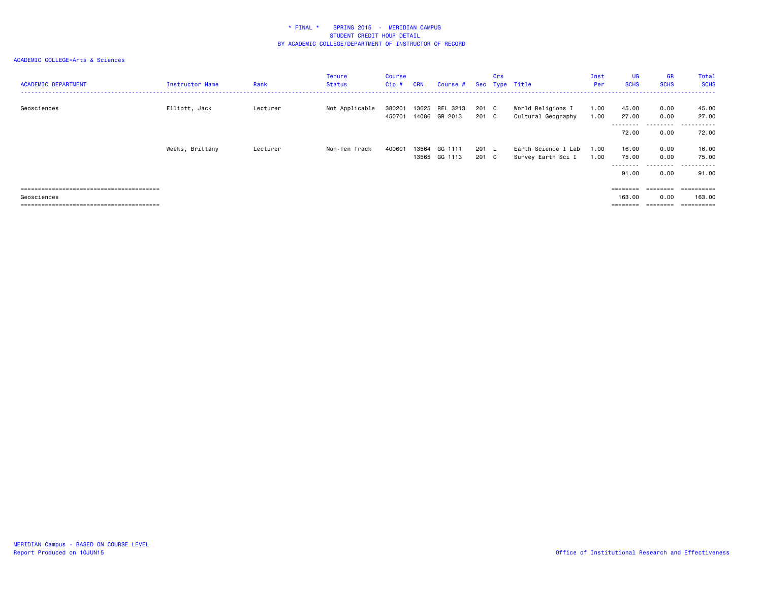| <b>ACADEMIC DEPARTMENT</b> | Instructor Name | Rank     | Tenure<br><b>Status</b> | <b>Course</b><br>Cip# | <b>CRN</b> | Course # Sec Type Title         |                | Crs |                                           | Inst<br>Per  | <b>UG</b><br><b>SCHS</b>    | <b>GR</b><br><b>SCHS</b> | Total<br><b>SCHS</b>                 |
|----------------------------|-----------------|----------|-------------------------|-----------------------|------------|---------------------------------|----------------|-----|-------------------------------------------|--------------|-----------------------------|--------------------------|--------------------------------------|
| Geosciences                | Elliott, Jack   | Lecturer | Not Applicable          | 380201<br>450701      |            | 13625 REL 3213<br>14086 GR 2013 | 201 C<br>201 C |     | World Religions I<br>Cultural Geography   | 1.00<br>1.00 | 45.00<br>27.00              | 0.00<br>0.00             | 45.00<br>27.00                       |
|                            |                 |          |                         |                       |            |                                 |                |     |                                           |              | 72.00                       | ---------<br>0.00        | ------<br>$ -$<br>72.00              |
|                            | Weeks, Brittany | Lecturer | Non-Ten Track           | 400601                | 13564      | GG 1111<br>13565 GG 1113        | 201 L<br>201 C |     | Earth Science I Lab<br>Survey Earth Sci I | 1.00<br>1.00 | 16.00<br>75.00<br>--------- | 0.00<br>0.00<br>.        | 16.00<br>75.00<br>-------<br>$- - -$ |
|                            |                 |          |                         |                       |            |                                 |                |     |                                           |              | 91.00                       | 0.00                     | 91.00                                |
|                            |                 |          |                         |                       |            |                                 |                |     |                                           |              | ========                    | ---------                | ==========                           |
| Geosciences                |                 |          |                         |                       |            |                                 |                |     |                                           |              | 163.00                      | 0.00<br>========         | 163.00<br>==========                 |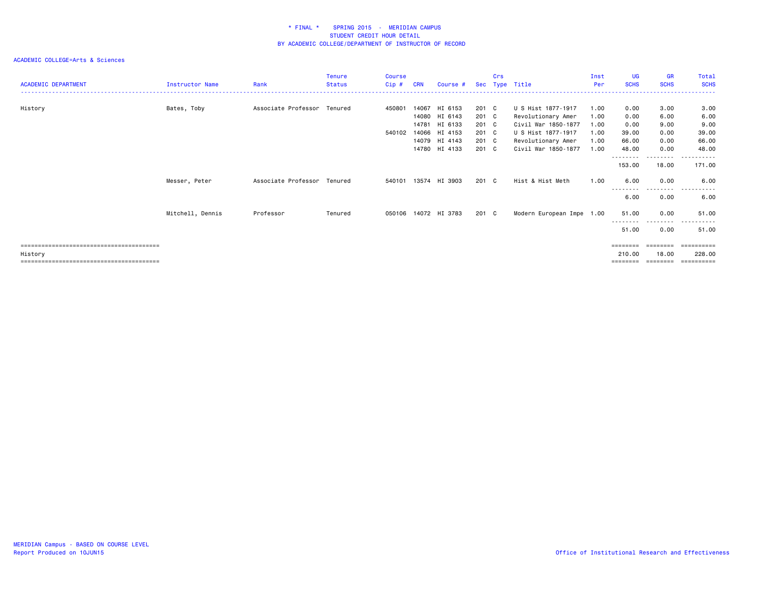| <b>ACADEMIC DEPARTMENT</b> | <b>Instructor Name</b> | Rank                        | <b>Tenure</b><br><b>Status</b> | <b>Course</b><br>Cip# | <b>CRN</b>     | Course #                 |                | Crs | Sec Type Title                            | Inst<br>Per  | <b>UG</b><br><b>SCHS</b> | <b>GR</b><br><b>SCHS</b>   | Total<br><b>SCHS</b>             |
|----------------------------|------------------------|-----------------------------|--------------------------------|-----------------------|----------------|--------------------------|----------------|-----|-------------------------------------------|--------------|--------------------------|----------------------------|----------------------------------|
| History                    | Bates, Toby            | Associate Professor Tenured |                                | 450801                | 14067          | HI 6153<br>14080 HI 6143 | 201 C<br>201 C |     | U S Hist 1877-1917<br>Revolutionary Amer  | 1.00<br>1.00 | 0.00<br>0.00             | 3.00<br>6.00               | 3.00<br>6.00                     |
|                            |                        |                             |                                | 540102                | 14781<br>14066 | HI 6133<br>HI 4153       | 201 C<br>201 C |     | Civil War 1850-1877<br>U S Hist 1877-1917 | 1.00<br>1.00 | 0.00<br>39.00            | 9.00<br>0.00               | 9.00<br>39.00                    |
|                            |                        |                             |                                |                       | 14780          | 14079 HI 4143<br>HI 4133 | 201 C<br>201 C |     | Revolutionary Amer<br>Civil War 1850-1877 | 1.00<br>1.00 | 66.00<br>48.00           | 0.00<br>0.00               | 66.00<br>48.00                   |
|                            |                        |                             |                                |                       |                |                          |                |     |                                           |              | --------<br>153.00       | ---------<br>18.00         | ------<br>171.00                 |
|                            | Messer, Peter          | Associate Professor Tenured |                                | 540101                |                | 13574 HI 3903            | 201 C          |     | Hist & Hist Meth                          | 1.00         | 6.00<br>--------         | 0.00<br>----               | 6.00<br>$\cdots$<br>. <u>.</u> . |
|                            |                        |                             |                                |                       |                |                          |                |     |                                           |              | 6.00                     | 0.00                       | 6.00                             |
|                            | Mitchell, Dennis       | Professor                   | Tenured                        | 050106                |                | 14072 HI 3783            | 201 C          |     | Modern European Impe 1.00                 |              | 51.00<br>--------        | 0.00<br>$- - - -$          | 51.00                            |
|                            |                        |                             |                                |                       |                |                          |                |     |                                           |              | 51.00<br>========        | 0.00                       | 51.00<br>==========              |
| History                    |                        |                             |                                |                       |                |                          |                |     |                                           |              | 210.00<br>========       | 18,00<br>$=$ = = = = = = = | 228.00<br>==========             |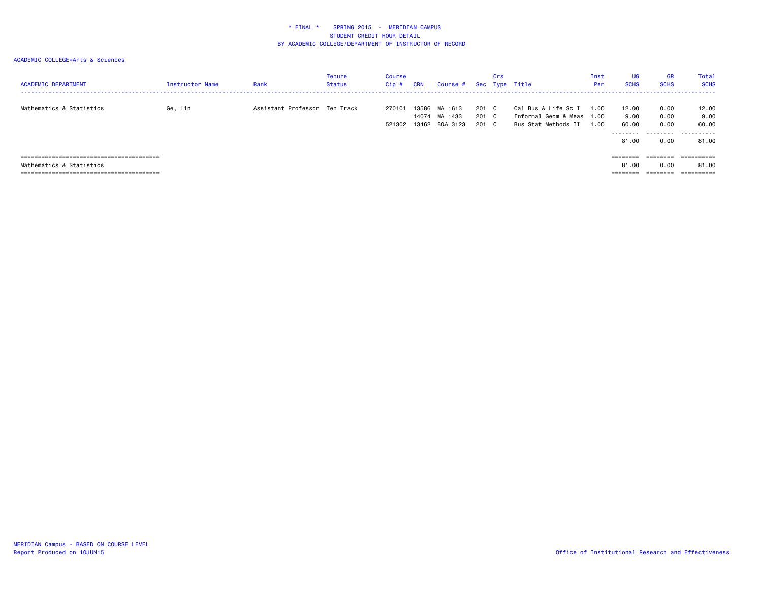| <b>ACADEMIC DEPARTMENT</b> | Instructor Name | Rank                          | Tenure<br>Status | Course<br>Cip#   | <b>CRN</b>              | Course #                       |                         | Crs | Sec Type Title                                                     | Inst<br>Per          | <b>UG</b><br><b>SCHS</b>                                                | <b>GR</b><br><b>SCHS</b>  | Total<br><b>SCHS</b>        |
|----------------------------|-----------------|-------------------------------|------------------|------------------|-------------------------|--------------------------------|-------------------------|-----|--------------------------------------------------------------------|----------------------|-------------------------------------------------------------------------|---------------------------|-----------------------------|
| Mathematics & Statistics   | Ge, Lin         | Assistant Professor Ten Track |                  | 270101<br>521302 | 13586<br>14074<br>13462 | MA 1613<br>MA 1433<br>BQA 3123 | 201 C<br>201 C<br>201 C |     | Cal Bus & Life Sc I<br>Informal Geom & Meas<br>Bus Stat Methods II | 1.00<br>1.00<br>1.00 | 12.00<br>9.00<br>60.00<br>---------                                     | 0.00<br>0.00<br>0.00<br>. | 12.00<br>9.00<br>60.00<br>. |
|                            |                 |                               |                  |                  |                         |                                |                         |     |                                                                    |                      | 81.00                                                                   | 0.00                      | 81.00                       |
|                            |                 |                               |                  |                  |                         |                                |                         |     |                                                                    |                      | ========                                                                | ========                  | ==========                  |
| Mathematics & Statistics   |                 |                               |                  |                  |                         |                                |                         |     |                                                                    |                      | 81.00                                                                   | 0.00                      | 81.00                       |
|                            |                 |                               |                  |                  |                         |                                |                         |     |                                                                    |                      | $\qquad \qquad \equiv \equiv \equiv \equiv \equiv \equiv \equiv \equiv$ | ________<br>--------      |                             |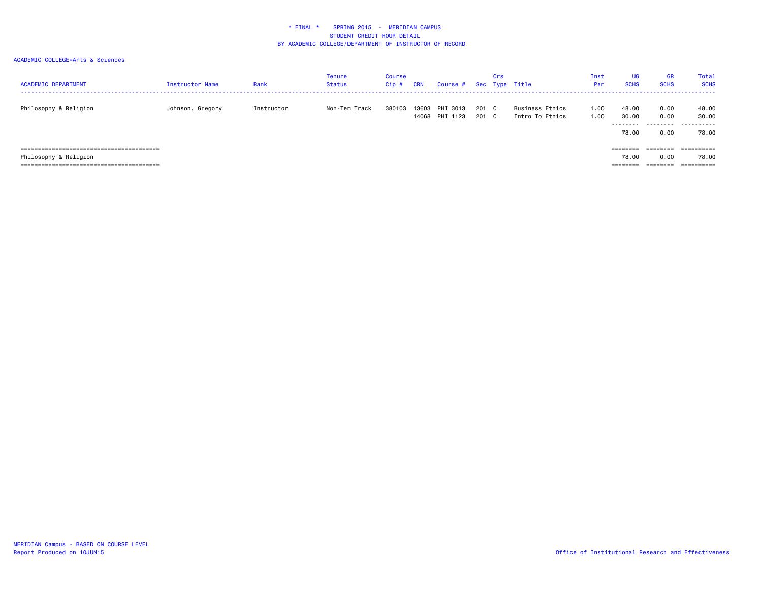| <b>ACADEMIC DEPARTMENT</b> | <b>Instructor Name</b> | Rank       | Tenure<br><b>Status</b> | Course<br>Cip# | <b>CRN</b> | Course #                   |                | Crs | Sec Type Title                     | Inst<br>Per  | <b>UG</b><br><b>SCHS</b>                  | <b>GR</b><br><b>SCHS</b>              | Total<br><b>SCHS</b><br>------- |
|----------------------------|------------------------|------------|-------------------------|----------------|------------|----------------------------|----------------|-----|------------------------------------|--------------|-------------------------------------------|---------------------------------------|---------------------------------|
| Philosophy & Religion      | Johnson, Gregory       | Instructor | Non-Ten Track           | 380103         | 13603      | PHI 3013<br>14068 PHI 1123 | 201 C<br>201 C |     | Business Ethics<br>Intro To Ethics | 1.00<br>1.00 | 48.00<br>30.00<br>---------<br>78.00      | 0.00<br>0.00<br>.<br>0.00             | 48.00<br>30.00<br>.<br>78.00    |
| Philosophy & Religion      |                        |            |                         |                |            |                            |                |     |                                    |              | ========<br>78.00<br>--------<br>-------- | $=$ = = = = = = =<br>0.00<br>======== | =========<br>78.00              |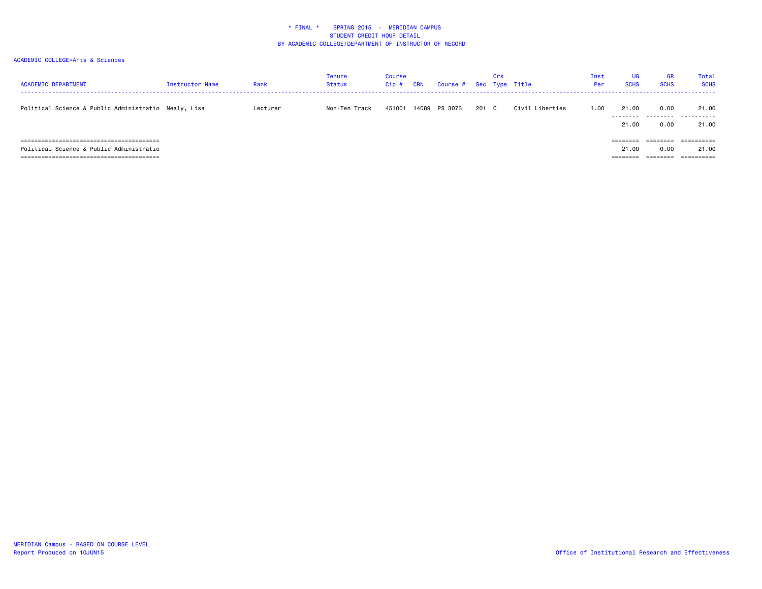| <b>ACADEMIC DEPARTMENT</b>                           | Instructor Name | Rank     | <b>Tenure</b><br>Status | Course<br>Cip# | <b>CRN</b> | Course # Sec Type Title |       | Crs |                 | Inst<br>Per | UG<br><b>SCHS</b>  | <b>GR</b><br><b>SCHS</b> | <b>Total</b><br><b>SCHS</b> |
|------------------------------------------------------|-----------------|----------|-------------------------|----------------|------------|-------------------------|-------|-----|-----------------|-------------|--------------------|--------------------------|-----------------------------|
| Political Science & Public Administratio Nealy, Lisa |                 | Lecturer | Non-Ten Track           | 451001         |            | 14089 PS 3073           | 201 C |     | Civil Liberties | 1.00        | 21.00              | 0.00                     | 21.00<br>                   |
|                                                      |                 |          |                         |                |            |                         |       |     |                 |             | ---------<br>21,00 | 0.00                     | 21.00                       |
| ;==================================                  |                 |          |                         |                |            |                         |       |     |                 |             | ========           |                          |                             |
| Political Science & Public Administratio             |                 |          |                         |                |            |                         |       |     |                 |             | 21,00              | 0.00                     | 21.00                       |
|                                                      |                 |          |                         |                |            |                         |       |     |                 |             | --------           | _______<br>--------      | -----------                 |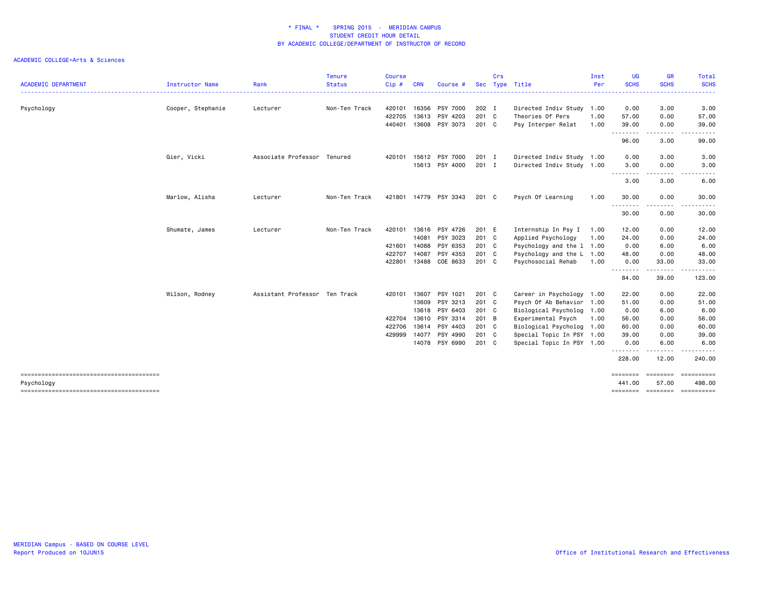|                            |                        |                               | <b>Tenure</b> | <b>Course</b> |            |                       |            | Crs |                           | Inst | <b>UG</b>               | <b>GR</b>                                                                                                                         | Total                          |
|----------------------------|------------------------|-------------------------------|---------------|---------------|------------|-----------------------|------------|-----|---------------------------|------|-------------------------|-----------------------------------------------------------------------------------------------------------------------------------|--------------------------------|
| <b>ACADEMIC DEPARTMENT</b> | <b>Instructor Name</b> | Rank                          | <b>Status</b> | Cip#          | <b>CRN</b> | Course #              | <b>Sec</b> |     | Type Title                | Per  | <b>SCHS</b>             | <b>SCHS</b><br>.                                                                                                                  | <b>SCHS</b>                    |
| Psychology                 | Cooper, Stephanie      | Lecturer                      | Non-Ten Track | 420101        | 16356      | PSY 7000              | 202 I      |     | Directed Indiv Study 1.00 |      | 0.00                    | 3.00                                                                                                                              | 3.00                           |
|                            |                        |                               |               | 422705        | 13613      | PSY 4203              | 201 C      |     | Theories Of Pers          | 1.00 | 57.00                   | 0.00                                                                                                                              | 57.00                          |
|                            |                        |                               |               | 440401        |            | 13608 PSY 3073        | 201 C      |     | Psy Interper Relat        | 1.00 | 39.00<br><u>.</u>       | 0.00<br>.                                                                                                                         | 39.00                          |
|                            |                        |                               |               |               |            |                       |            |     |                           |      | 96.00                   | 3.00                                                                                                                              | 99.00                          |
|                            | Gier, Vicki            | Associate Professor Tenured   |               | 420101        |            | 15612 PSY 7000        | 201 I      |     | Directed Indiv Study 1.00 |      | 0.00                    | 3.00                                                                                                                              | 3.00                           |
|                            |                        |                               |               |               |            | 15613 PSY 4000        | 201 I      |     | Directed Indiv Study 1.00 |      | 3.00<br><u>.</u>        | 0.00                                                                                                                              | 3.00                           |
|                            |                        |                               |               |               |            |                       |            |     |                           |      | 3.00                    | 3.00                                                                                                                              | 6.00                           |
|                            | Marlow, Alisha         | Lecturer                      | Non-Ten Track |               |            | 421801 14779 PSY 3343 | 201 C      |     | Psych Of Learning         | 1.00 | 30.00<br>.              | 0.00<br>$\frac{1}{2} \left( \frac{1}{2} \right) \left( \frac{1}{2} \right) \left( \frac{1}{2} \right) \left( \frac{1}{2} \right)$ | 30.00                          |
|                            |                        |                               |               |               |            |                       |            |     |                           |      | 30.00                   | 0.00                                                                                                                              | 30.00                          |
|                            | Shumate, James         | Lecturer                      | Non-Ten Track | 420101        | 13616      | PSY 4726              | 201 E      |     | Internship In Psy I       | 1.00 | 12.00                   | 0.00                                                                                                                              | 12.00                          |
|                            |                        |                               |               |               | 14081      | PSY 3023              | 201 C      |     | Applied Psychology        | 1.00 | 24.00                   | 0.00                                                                                                                              | 24.00                          |
|                            |                        |                               |               | 421601        | 14088      | PSY 6353              | 201 C      |     | Psychology and the 1 1.00 |      | 0.00                    | 6.00                                                                                                                              | 6.00                           |
|                            |                        |                               |               | 422707        | 14087      | PSY 4353              | 201 C      |     | Psychology and the L 1.00 |      | 48.00                   | 0.00                                                                                                                              | 48.00                          |
|                            |                        |                               |               | 422801        |            | 13488 COE 8633        | 201 C      |     | Psychosocial Rehab        | 1.00 | 0.00<br>- - - - - - - - | 33.00<br>- - - - - -                                                                                                              | 33.00<br>-----                 |
|                            |                        |                               |               |               |            |                       |            |     |                           |      | 84.00                   | 39.00                                                                                                                             | 123.00                         |
|                            | Wilson, Rodney         | Assistant Professor Ten Track |               | 420101        | 13607      | PSY 1021              | 201 C      |     | Career in Psychology      | 1.00 | 22.00                   | 0.00                                                                                                                              | 22.00                          |
|                            |                        |                               |               |               | 13609      | PSY 3213              | 201 C      |     | Psych Of Ab Behavior 1.00 |      | 51.00                   | 0.00                                                                                                                              | 51.00                          |
|                            |                        |                               |               |               | 13618      | PSY 6403              | 201 C      |     | Biological Psycholog 1.00 |      | 0.00                    | 6.00                                                                                                                              | 6.00                           |
|                            |                        |                               |               | 422704        | 13610      | PSY 3314              | 201 B      |     | Experimental Psych        | 1.00 | 56.00                   | 0.00                                                                                                                              | 56.00                          |
|                            |                        |                               |               | 422706        | 13614      | PSY 4403              | 201 C      |     | Biological Psycholog 1.00 |      | 60.00                   | 0.00                                                                                                                              | 60.00                          |
|                            |                        |                               |               | 429999        | 14077      | PSY 4990              | 201 C      |     | Special Topic In PSY 1.00 |      | 39.00                   | 0.00                                                                                                                              | 39.00                          |
|                            |                        |                               |               |               |            | 14078 PSY 6990        | 201 C      |     | Special Topic In PSY 1.00 |      | 0.00<br>. <b>.</b>      | 6.00                                                                                                                              | 6.00                           |
|                            |                        |                               |               |               |            |                       |            |     |                           |      | 228.00                  | 12.00                                                                                                                             | 240.00                         |
|                            |                        |                               |               |               |            |                       |            |     |                           |      | ========<br>441.00      | ========<br>57.00                                                                                                                 | ==========<br>498.00           |
| Psychology                 |                        |                               |               |               |            |                       |            |     |                           |      |                         |                                                                                                                                   | ========= ========= ========== |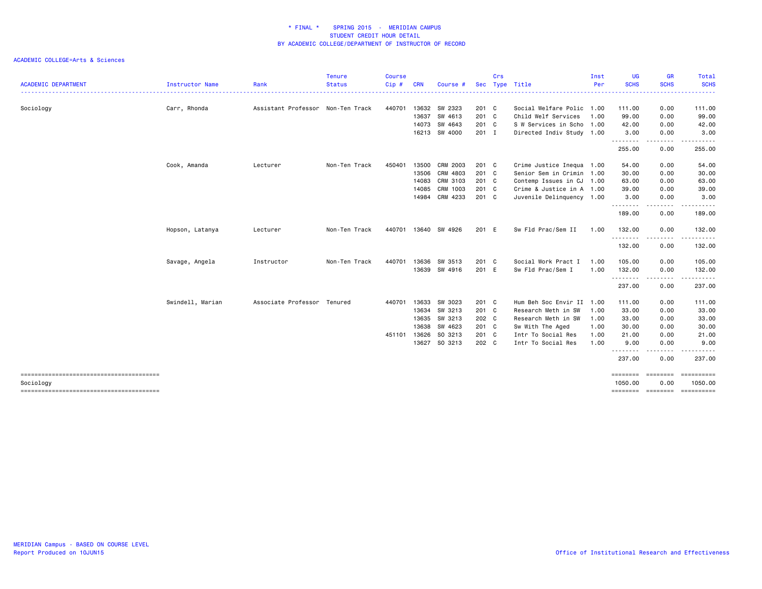|                            |                  |                                   | <b>Tenure</b> | <b>Course</b> |            |               |            | Crs |                           | Inst | <b>UG</b>            | <b>GR</b>                                                                                                                         | Total                                                                                                                                    |
|----------------------------|------------------|-----------------------------------|---------------|---------------|------------|---------------|------------|-----|---------------------------|------|----------------------|-----------------------------------------------------------------------------------------------------------------------------------|------------------------------------------------------------------------------------------------------------------------------------------|
| <b>ACADEMIC DEPARTMENT</b> | Instructor Name  | Rank                              | <b>Status</b> | Cip#          | <b>CRN</b> | Course #      | <b>Sec</b> |     | Type Title                | Per  | <b>SCHS</b>          | <b>SCHS</b>                                                                                                                       | <b>SCHS</b><br>$\frac{1}{2} \left( \frac{1}{2} \right) \left( \frac{1}{2} \right) \left( \frac{1}{2} \right) \left( \frac{1}{2} \right)$ |
| Sociology                  | Carr, Rhonda     | Assistant Professor Non-Ten Track |               | 440701        |            | 13632 SW 2323 | 201 C      |     | Social Welfare Polic 1.00 |      | 111.00               | 0.00                                                                                                                              | 111.00                                                                                                                                   |
|                            |                  |                                   |               |               | 13637      | SW 4613       | 201 C      |     | Child Welf Services       | 1.00 | 99.00                | 0.00                                                                                                                              | 99.00                                                                                                                                    |
|                            |                  |                                   |               |               | 14073      | SW 4643       | 201 C      |     | S W Services in Scho 1.00 |      | 42.00                | 0.00                                                                                                                              | 42.00                                                                                                                                    |
|                            |                  |                                   |               |               |            | 16213 SW 4000 | 201 I      |     | Directed Indiv Study 1.00 |      | 3.00<br>.            | 0.00<br>.                                                                                                                         | 3.00<br>. <b>.</b>                                                                                                                       |
|                            |                  |                                   |               |               |            |               |            |     |                           |      | 255.00               | 0.00                                                                                                                              | 255.00                                                                                                                                   |
|                            | Cook, Amanda     | Lecturer                          | Non-Ten Track | 450401        | 13500      | CRM 2003      | 201 C      |     | Crime Justice Inequa 1.00 |      | 54.00                | 0.00                                                                                                                              | 54.00                                                                                                                                    |
|                            |                  |                                   |               |               | 13506      | CRM 4803      | 201 C      |     | Senior Sem in Crimin 1.00 |      | 30.00                | 0.00                                                                                                                              | 30.00                                                                                                                                    |
|                            |                  |                                   |               |               | 14083      | CRM 3103      | 201 C      |     | Contemp Issues in CJ 1.00 |      | 63.00                | 0.00                                                                                                                              | 63.00                                                                                                                                    |
|                            |                  |                                   |               |               | 14085      | CRM 1003      | 201 C      |     | Crime & Justice in A 1.00 |      | 39.00                | 0.00                                                                                                                              | 39.00                                                                                                                                    |
|                            |                  |                                   |               |               | 14984      | CRM 4233      | 201 C      |     | Juvenile Delinquency 1.00 |      | 3.00<br>.            | 0.00<br>$\frac{1}{2} \left( \frac{1}{2} \right) \left( \frac{1}{2} \right) \left( \frac{1}{2} \right) \left( \frac{1}{2} \right)$ | 3.00                                                                                                                                     |
|                            |                  |                                   |               |               |            |               |            |     |                           |      | 189.00               | 0.00                                                                                                                              | 189.00                                                                                                                                   |
|                            | Hopson, Latanya  | Lecturer                          | Non-Ten Track | 440701        |            | 13640 SW 4926 | 201 E      |     | Sw Fld Prac/Sem II        | 1.00 | 132.00               | 0.00                                                                                                                              | 132.00                                                                                                                                   |
|                            |                  |                                   |               |               |            |               |            |     |                           |      | .<br>132.00          | $\cdots$<br>0.00                                                                                                                  | .<br>132.00                                                                                                                              |
|                            | Savage, Angela   | Instructor                        | Non-Ten Track | 440701        | 13636      | SW 3513       | 201 C      |     | Social Work Pract I       | 1.00 | 105.00               | 0.00                                                                                                                              | 105.00                                                                                                                                   |
|                            |                  |                                   |               |               |            | 13639 SW 4916 | 201 E      |     | Sw Fld Prac/Sem I         | 1.00 | 132.00               | 0.00<br>$\frac{1}{2}$                                                                                                             | 132.00<br>.                                                                                                                              |
|                            |                  |                                   |               |               |            |               |            |     |                           |      | .<br>237.00          | 0.00                                                                                                                              | 237.00                                                                                                                                   |
|                            | Swindell, Marian | Associate Professor Tenured       |               | 440701        | 13633      | SW 3023       | 201 C      |     | Hum Beh Soc Envir II 1.00 |      | 111.00               | 0.00                                                                                                                              | 111.00                                                                                                                                   |
|                            |                  |                                   |               |               | 13634      | SW 3213       | 201 C      |     | Research Meth in SW       | 1.00 | 33.00                | 0.00                                                                                                                              | 33.00                                                                                                                                    |
|                            |                  |                                   |               |               | 13635      | SW 3213       | 202 C      |     | Research Meth in SW       | 1.00 | 33.00                | 0.00                                                                                                                              | 33.00                                                                                                                                    |
|                            |                  |                                   |               |               | 13638      | SW 4623       | 201 C      |     | Sw With The Aged          | 1.00 | 30.00                | 0.00                                                                                                                              | 30.00                                                                                                                                    |
|                            |                  |                                   |               | 451101        | 13626      | SO 3213       | 201 C      |     | Intr To Social Res        | 1.00 | 21.00                | 0.00                                                                                                                              | 21.00                                                                                                                                    |
|                            |                  |                                   |               |               |            | 13627 SO 3213 | 202 C      |     | Intr To Social Res        | 1.00 | 9.00<br>. <b>.</b> . | 0.00                                                                                                                              | 9.00                                                                                                                                     |
|                            |                  |                                   |               |               |            |               |            |     |                           |      | 237.00               | 0.00                                                                                                                              | 237.00                                                                                                                                   |
| Sociology                  |                  |                                   |               |               |            |               |            |     |                           |      | ========<br>1050.00  | ========<br>0.00                                                                                                                  | ==========<br>1050.00                                                                                                                    |
|                            |                  |                                   |               |               |            |               |            |     |                           |      |                      |                                                                                                                                   | ==============================                                                                                                           |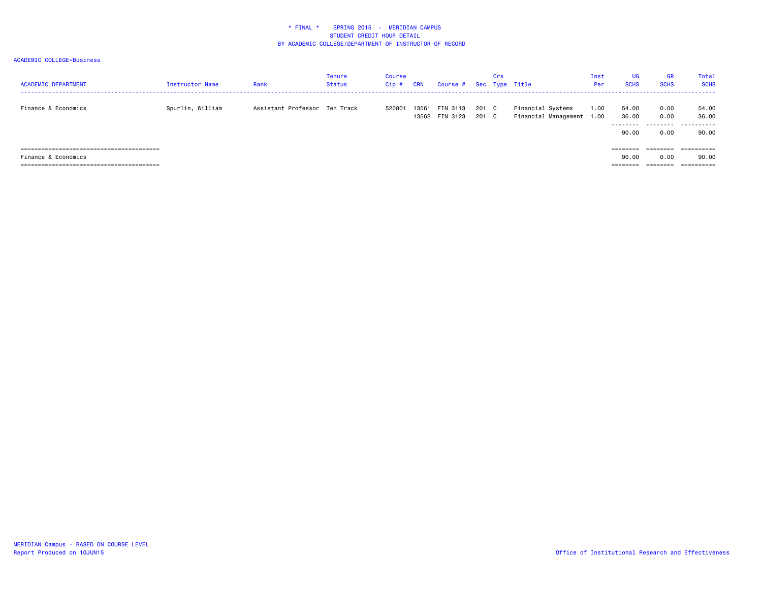| <b>ACADEMIC DEPARTMENT</b> | <b>Instructor Name</b> | Rank                          | Tenure<br>Status | Course<br>Cip# | <b>CRN</b> | Course #                   |              | Crs | Sec Type Title                                 | Inst<br>Per | <b>UG</b><br><b>SCHS</b>             | <b>GR</b><br><b>SCHS</b>  | Total<br><b>SCHS</b>         |
|----------------------------|------------------------|-------------------------------|------------------|----------------|------------|----------------------------|--------------|-----|------------------------------------------------|-------------|--------------------------------------|---------------------------|------------------------------|
| Finance & Economics        | Spurlin, William       | Assistant Professor Ten Track |                  | 520801         | 13561      | FIN 3113<br>13562 FIN 3123 | 201 C<br>201 | C . | Financial Systems<br>Financial Management 1.00 | 1.00        | 54.00<br>36.00<br>---------<br>90.00 | 0.00<br>0.00<br>.<br>0.00 | 54.00<br>36.00<br>.<br>90.00 |
|                            |                        |                               |                  |                |            |                            |              |     |                                                |             | ========                             | $=$ = = = = = = =         |                              |
| Finance & Economics        |                        |                               |                  |                |            |                            |              |     |                                                |             | 90.00                                | 0.00                      | 90.00                        |
|                            |                        |                               |                  |                |            |                            |              |     |                                                |             | ________<br>--------                 | --------<br>--------      | ----------<br>----------     |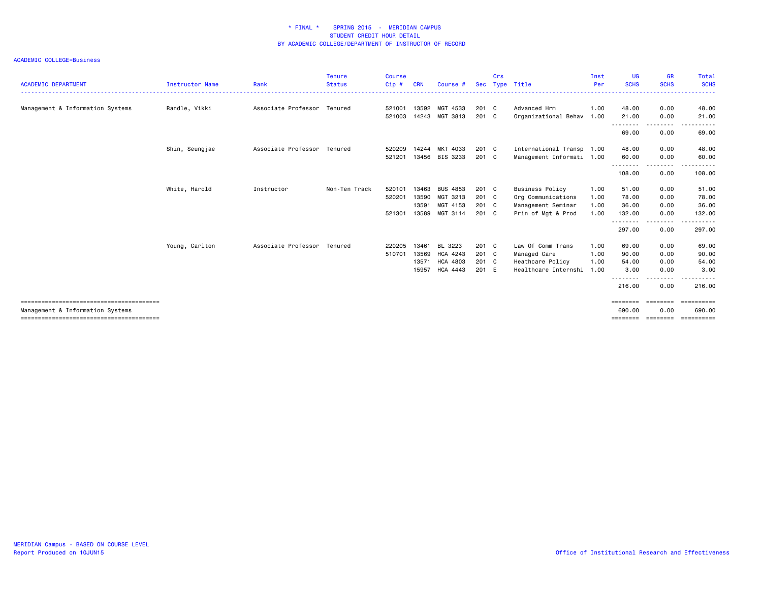| <b>ACADEMIC DEPARTMENT</b>       | <b>Instructor Name</b> | Rank                        | <b>Tenure</b><br><b>Status</b> | <b>Course</b><br>Cip# | <b>CRN</b> | Course #        |               | Crs | Sec Type Title            | Inst<br>Per | <b>UG</b><br><b>SCHS</b> | <b>GR</b><br><b>SCHS</b> | Total<br><b>SCHS</b>  |
|----------------------------------|------------------------|-----------------------------|--------------------------------|-----------------------|------------|-----------------|---------------|-----|---------------------------|-------------|--------------------------|--------------------------|-----------------------|
| Management & Information Systems | Randle, Vikki          | Associate Professor Tenured |                                | 521001                | 13592      | MGT 4533        | 201 C         |     | Advanced Hrm              | 1.00        | 48.00                    | 0.00                     | 48.00                 |
|                                  |                        |                             |                                | 521003                | 14243      | MGT 3813        | $201 \quad C$ |     | Organizational Behav 1.00 |             | 21.00<br>---------       | 0.00<br><u>.</u>         | 21.00<br>.            |
|                                  |                        |                             |                                |                       |            |                 |               |     |                           |             | 69.00                    | 0.00                     | 69.00                 |
|                                  | Shin, Seungjae         | Associate Professor Tenured |                                | 520209                | 14244      | MKT 4033        | $201 \quad C$ |     | International Transp 1.00 |             | 48.00                    | 0.00                     | 48.00                 |
|                                  |                        |                             |                                | 521201                | 13456      | BIS 3233        | 201 C         |     | Management Informati 1.00 |             | 60.00                    | 0.00                     | 60.00                 |
|                                  |                        |                             |                                |                       |            |                 |               |     |                           |             | ---------<br>108.00      | .<br>0.00                | - - - - - -<br>108.00 |
|                                  | White, Harold          | Instructor                  | Non-Ten Track                  | 520101                | 13463      | <b>BUS 4853</b> | $201 \quad C$ |     | <b>Business Policy</b>    | 1.00        | 51.00                    | 0.00                     | 51.00                 |
|                                  |                        |                             |                                | 520201                | 13590      | MGT 3213        | $201 \quad C$ |     | Org Communications        | 1.00        | 78.00                    | 0.00                     | 78.00                 |
|                                  |                        |                             |                                |                       | 13591      | MGT 4153        | $201 \quad C$ |     | Management Seminar        | 1.00        | 36.00                    | 0.00                     | 36.00                 |
|                                  |                        |                             |                                | 521301                | 13589      | MGT 3114        | $201 \quad C$ |     | Prin of Mgt & Prod        | 1.00        | 132.00                   | 0.00                     | 132.00                |
|                                  |                        |                             |                                |                       |            |                 |               |     |                           |             | --------<br>297.00       | --------<br>0.00         | ------<br>297.00      |
|                                  | Young, Carlton         | Associate Professor Tenured |                                | 220205                | 13461      | BL 3223         | 201 C         |     | Law Of Comm Trans         | 1.00        | 69.00                    | 0.00                     | 69.00                 |
|                                  |                        |                             |                                | 510701                | 13569      | HCA 4243        | $201 \quad C$ |     | Managed Care              | 1.00        | 90.00                    | 0.00                     | 90.00                 |
|                                  |                        |                             |                                |                       | 13571      | <b>HCA 4803</b> | $201 \quad C$ |     | Heathcare Policy          | 1.00        | 54.00                    | 0.00                     | 54.00                 |
|                                  |                        |                             |                                |                       | 15957      | <b>HCA 4443</b> | 201 E         |     | Healthcare Internshi 1.00 |             | 3,00                     | 0.00                     | 3,00                  |
|                                  |                        |                             |                                |                       |            |                 |               |     |                           |             | ---------<br>216.00      | ---------<br>0.00        | .<br>216.00           |
| Management & Information Systems |                        |                             |                                |                       |            |                 |               |     |                           |             | 690,00                   | 0.00                     | ==========<br>690,00  |
|                                  |                        |                             |                                |                       |            |                 |               |     |                           |             | ========                 | ========                 | ----------            |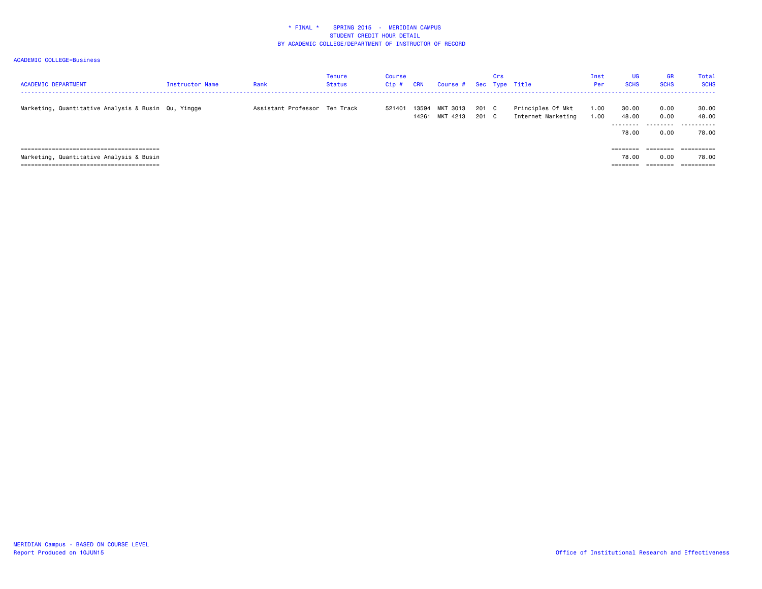| <b>ACADEMIC DEPARTMENT</b>                          | Instructor Name | Rank                          | Tenure<br><b>Status</b> | Course<br>$Cip$ # | <b>CRN</b> | Course #                   |              | Crs | Sec Type Title                          | Inst<br>Per  | <b>UG</b><br><b>SCHS</b> | <b>GR</b><br><b>SCHS</b> | Total<br><b>SCHS</b>         |
|-----------------------------------------------------|-----------------|-------------------------------|-------------------------|-------------------|------------|----------------------------|--------------|-----|-----------------------------------------|--------------|--------------------------|--------------------------|------------------------------|
| Marketing, Quantitative Analysis & Busin Qu, Yingge |                 | Assistant Professor Ten Track |                         | 521401            | 13594      | MKT 3013<br>14261 MKT 4213 | 201<br>201 C | C . | Principles Of Mkt<br>Internet Marketing | 1.00<br>1.00 | 30.00<br>48.00<br>.      | 0.00<br>0.00<br>.        | 30.00<br>48.00<br>---------- |
|                                                     |                 |                               |                         |                   |            |                            |              |     |                                         |              | 78.00<br>$= 222222222$   | 0.00<br>========         | 78.00                        |
| Marketing, Quantitative Analysis & Busin            |                 |                               |                         |                   |            |                            |              |     |                                         |              | 78.00                    | 0.00<br>========         | 78.00                        |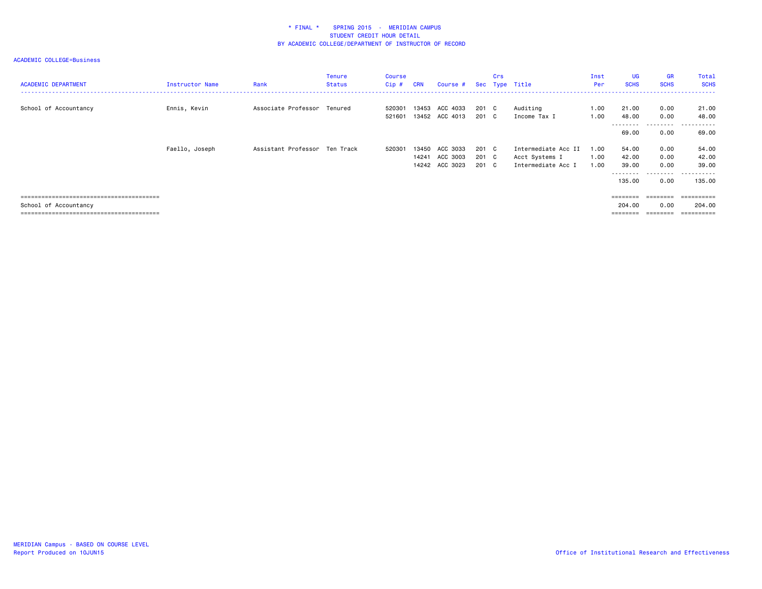| <b>ACADEMIC DEPARTMENT</b> | <b>Instructor Name</b> | Rank                          | <b>Tenure</b><br><b>Status</b> | Course<br>$Cip$ # | <b>CRN</b>     | Course #                               |                         | Crs | Sec Type Title                                              | Inst<br>Per          | <b>UG</b><br><b>SCHS</b>                                                          | <b>GR</b><br><b>SCHS</b>                  | Total<br><b>SCHS</b>                   |
|----------------------------|------------------------|-------------------------------|--------------------------------|-------------------|----------------|----------------------------------------|-------------------------|-----|-------------------------------------------------------------|----------------------|-----------------------------------------------------------------------------------|-------------------------------------------|----------------------------------------|
| School of Accountancy      | Ennis, Kevin           | Associate Professor Tenured   |                                | 520301<br>521601  |                | 13453 ACC 4033<br>13452 ACC 4013       | 201 C<br>201 C          |     | Auditing<br>Income Tax I                                    | 1.00<br>1.00         | 21.00<br>48.00                                                                    | 0.00<br>0.00                              | 21.00<br>48.00                         |
|                            |                        |                               |                                |                   |                |                                        |                         |     |                                                             |                      | ---------<br>69.00                                                                | ---------<br>0.00                         | .<br>$- - - -$<br>69.00                |
|                            | Faello, Joseph         | Assistant Professor Ten Track |                                | 520301            | 13450<br>14241 | ACC 3033<br>ACC 3003<br>14242 ACC 3023 | 201 C<br>201 C<br>201 C |     | Intermediate Acc II<br>Acct Systems I<br>Intermediate Acc I | 1.00<br>1.00<br>1.00 | 54.00<br>42.00<br>39.00<br>---------<br>135,00                                    | 0.00<br>0.00<br>0.00<br>---------<br>0.00 | 54.00<br>42.00<br>39.00<br>.<br>135.00 |
| School of Accountancy      |                        |                               |                                |                   |                |                                        |                         |     |                                                             |                      | $\qquad \qquad \equiv \equiv \equiv \equiv \equiv \equiv \equiv \equiv$<br>204.00 | ========<br>0.00                          | ==========<br>204,00<br>==========     |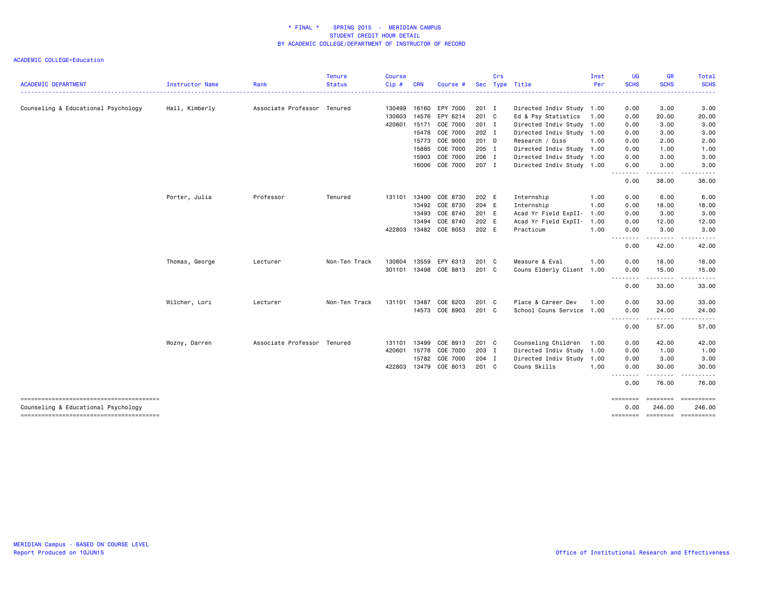|                                                     |                 |                             | <b>Tenure</b> | <b>Course</b> |            |                |       | Crs |                           | Inst | <b>UG</b>                                  | <b>GR</b>                                                                                                                                                    | Total                        |
|-----------------------------------------------------|-----------------|-----------------------------|---------------|---------------|------------|----------------|-------|-----|---------------------------|------|--------------------------------------------|--------------------------------------------------------------------------------------------------------------------------------------------------------------|------------------------------|
| <b>ACADEMIC DEPARTMENT</b><br>--------------------- | Instructor Name | Rank                        | <b>Status</b> | $Cip$ #       | <b>CRN</b> | Course #       | Sec   |     | Type Title                | Per  | <b>SCHS</b><br><b><i><u>AAAAAA</u></i></b> | <b>SCHS</b><br>. <u>.</u>                                                                                                                                    | <b>SCHS</b><br>.             |
| Counseling & Educational Psychology                 | Hall, Kimberly  | Associate Professor Tenured |               | 130499        | 16160      | EPY 7000       | 201 I |     | Directed Indiv Study 1.00 |      | 0.00                                       | 3.00                                                                                                                                                         | 3.00                         |
|                                                     |                 |                             |               | 130603        | 14576      | EPY 6214       | 201 C |     | Ed & Psy Statistics       | 1.00 | 0.00                                       | 20.00                                                                                                                                                        | 20.00                        |
|                                                     |                 |                             |               | 420601        | 15171      | COE 7000       | 201 I |     | Directed Indiv Study 1.00 |      | 0.00                                       | 3.00                                                                                                                                                         | 3.00                         |
|                                                     |                 |                             |               |               |            | 15478 COE 7000 | 202 I |     | Directed Indiv Study 1.00 |      | 0.00                                       | 3.00                                                                                                                                                         | 3.00                         |
|                                                     |                 |                             |               |               | 15773      | COE 9000       | 201 D |     | Research / Diss           | 1.00 | 0.00                                       | 2.00                                                                                                                                                         | 2.00                         |
|                                                     |                 |                             |               |               | 15885      | COE 7000       | 205 I |     | Directed Indiv Study 1.00 |      | 0.00                                       | 1.00                                                                                                                                                         | 1.00                         |
|                                                     |                 |                             |               |               | 15903      | COE 7000       | 206 I |     | Directed Indiv Study 1.00 |      | 0.00                                       | 3.00                                                                                                                                                         | 3.00                         |
|                                                     |                 |                             |               |               |            | 16006 COE 7000 | 207 I |     | Directed Indiv Study 1.00 |      | 0.00<br><u>.</u>                           | 3.00<br>$\frac{1}{2} \left( \frac{1}{2} \right) \left( \frac{1}{2} \right) \left( \frac{1}{2} \right) \left( \frac{1}{2} \right) \left( \frac{1}{2} \right)$ | 3.00<br>$\frac{1}{2}$        |
|                                                     |                 |                             |               |               |            |                |       |     |                           |      | 0.00                                       | 38.00                                                                                                                                                        | 38.00                        |
|                                                     | Porter, Julia   | Professor                   | Tenured       | 131101        | 13490      | COE 8730       | 202 E |     | Internship                | 1.00 | 0.00                                       | 6.00                                                                                                                                                         | 6.00                         |
|                                                     |                 |                             |               |               |            | 13492 COE 8730 | 204 E |     | Internship                | 1.00 | 0.00                                       | 18.00                                                                                                                                                        | 18.00                        |
|                                                     |                 |                             |               |               |            | 13493 COE 8740 | 201 E |     | Acad Yr Field ExpII-      | 1.00 | 0.00                                       | 3.00                                                                                                                                                         | 3.00                         |
|                                                     |                 |                             |               |               | 13494      | COE 8740       | 202 E |     | Acad Yr Field ExpII- 1.00 |      | 0.00                                       | 12.00                                                                                                                                                        | 12.00                        |
|                                                     |                 |                             |               | 422803        |            | 13482 COE 8053 | 202 E |     | Practicum                 | 1.00 | 0.00<br>.                                  | 3.00<br>. <u>.</u>                                                                                                                                           | 3.00<br>.                    |
|                                                     |                 |                             |               |               |            |                |       |     |                           |      | 0.00                                       | 42.00                                                                                                                                                        | 42.00                        |
|                                                     | Thomas, George  | Lecturer                    | Non-Ten Track | 130604        | 13559      | EPY 6313       | 201 C |     | Measure & Eval            | 1.00 | 0.00                                       | 18.00                                                                                                                                                        | 18.00                        |
|                                                     |                 |                             |               | 301101        |            | 13498 COE 8813 | 201 C |     | Couns Elderly Client 1.00 |      | 0.00<br><u>.</u>                           | 15.00<br>. <b>.</b>                                                                                                                                          | 15.00<br>.                   |
|                                                     |                 |                             |               |               |            |                |       |     |                           |      | 0.00                                       | 33.00                                                                                                                                                        | 33.00                        |
|                                                     | Wilcher, Lori   | Lecturer                    | Non-Ten Track | 131101        | 13487      | COE 8203       | 201 C |     | Place & Career Dev        | 1.00 | 0.00                                       | 33.00                                                                                                                                                        | 33.00                        |
|                                                     |                 |                             |               |               |            | 14573 COE 8903 | 201 C |     | School Couns Service      | 1.00 | 0.00<br>.                                  | 24.00                                                                                                                                                        | 24.00                        |
|                                                     |                 |                             |               |               |            |                |       |     |                           |      | 0.00                                       | 57.00                                                                                                                                                        | 57.00                        |
|                                                     | Wozny, Darren   | Associate Professor Tenured |               | 131101        | 13499      | COE 8913       | 201 C |     | Counseling Children       | 1.00 | 0.00                                       | 42.00                                                                                                                                                        | 42.00                        |
|                                                     |                 |                             |               | 420601        | 15778      | COE 7000       | 203 I |     | Directed Indiv Study 1.00 |      | 0.00                                       | 1.00                                                                                                                                                         | 1.00                         |
|                                                     |                 |                             |               |               | 15782      | COE 7000       | 204 I |     | Directed Indiv Study 1.00 |      | 0.00                                       | 3.00                                                                                                                                                         | 3.00                         |
|                                                     |                 |                             |               | 422803        |            | 13479 COE 8013 | 201 C |     | Couns Skills              | 1.00 | 0.00                                       | 30.00                                                                                                                                                        | 30.00                        |
|                                                     |                 |                             |               |               |            |                |       |     |                           |      | 0.00                                       | 76.00                                                                                                                                                        | 76.00                        |
| Counseling & Educational Psychology                 |                 |                             |               |               |            |                |       |     |                           |      | ========<br>0.00                           | 246.00                                                                                                                                                       | ======== =========<br>246.00 |
|                                                     |                 |                             |               |               |            |                |       |     |                           |      | ========                                   |                                                                                                                                                              | --------------------         |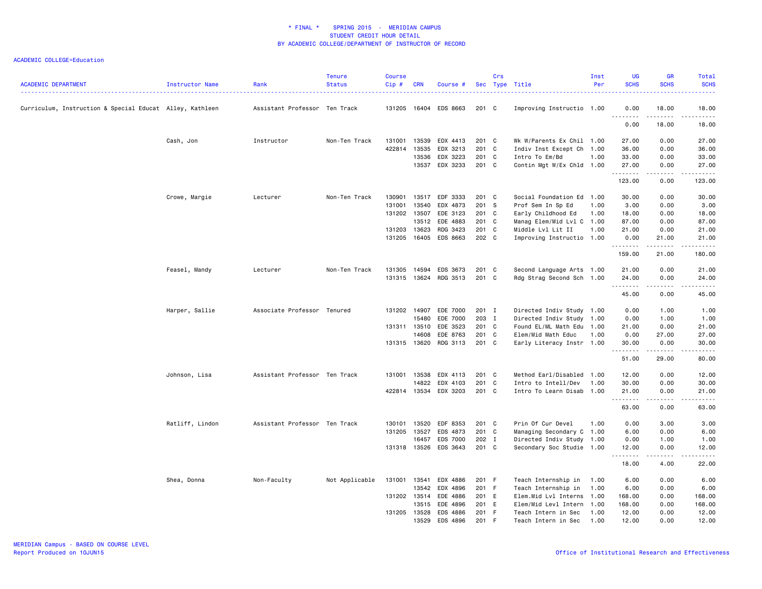| <b>ACADEMIC DEPARTMENT</b>                               | Instructor Name | Rank                          | <b>Tenure</b><br><b>Status</b> | <b>Course</b><br>Cip# | <b>CRN</b> | Course #              |         | Crs | Sec Type Title            | Inst<br>Per | <b>UG</b><br><b>SCHS</b> | <b>GR</b><br><b>SCHS</b> | <b>Total</b><br><b>SCHS</b><br>$\sim$ $\sim$ $\sim$ $\sim$ $\sim$ |
|----------------------------------------------------------|-----------------|-------------------------------|--------------------------------|-----------------------|------------|-----------------------|---------|-----|---------------------------|-------------|--------------------------|--------------------------|-------------------------------------------------------------------|
| Curriculum, Instruction & Special Educat Alley, Kathleen |                 | Assistant Professor Ten Track |                                | 131205                |            | 16404 EDS 8663        | 201 C   |     | Improving Instructio 1.00 |             | 0.00<br>1.1.1.1.1.1.1    | 18.00<br>.               | 18.00<br>.                                                        |
|                                                          |                 |                               |                                |                       |            |                       |         |     |                           |             | 0.00                     | 18.00                    | 18.00                                                             |
|                                                          | Cash, Jon       | Instructor                    | Non-Ten Track                  | 131001                | 13539      | EDX 4413              | 201 C   |     | Wk W/Parents Ex Chil 1.00 |             | 27.00                    | 0.00                     | 27.00                                                             |
|                                                          |                 |                               |                                | 422814                | 13535      | EDX 3213              | $201$ C |     | Indiv Inst Except Ch 1.00 |             | 36.00                    | 0.00                     | 36.00                                                             |
|                                                          |                 |                               |                                |                       | 13536      | EDX 3223              | 201 C   |     | Intro To Em/Bd            | 1.00        | 33.00                    | 0.00                     | 33.00                                                             |
|                                                          |                 |                               |                                |                       | 13537      | EDX 3233              | 201 C   |     | Contin Mgt W/Ex Chld 1.00 |             | 27.00<br>.               | 0.00<br>.                | 27.00<br>المالم مالك                                              |
|                                                          |                 |                               |                                |                       |            |                       |         |     |                           |             | 123.00                   | 0.00                     | 123.00                                                            |
|                                                          | Crowe, Margie   | Lecturer                      | Non-Ten Track                  | 130901                | 13517      | EDF 3333              | 201 C   |     | Social Foundation Ed 1.00 |             | 30.00                    | 0.00                     | 30.00                                                             |
|                                                          |                 |                               |                                | 131001                | 13540      | EDX 4873              | 201 S   |     | Prof Sem In Sp Ed         | 1.00        | 3.00                     | 0.00                     | 3.00                                                              |
|                                                          |                 |                               |                                | 131202                | 13507      | EDE 3123              | 201 C   |     | Early Childhood Ed        | 1.00        | 18.00                    | 0.00                     | 18.00                                                             |
|                                                          |                 |                               |                                |                       | 13512      | EDE 4883              | 201 C   |     | Manag Elem/Mid Lvl C 1.00 |             | 87.00                    | 0.00                     | 87.00                                                             |
|                                                          |                 |                               |                                | 131203                | 13623      | RDG 3423              | 201 C   |     | Middle Lvl Lit II         | 1.00        | 21.00                    | 0.00                     | 21.00                                                             |
|                                                          |                 |                               |                                | 131205                | 16405      | EDS 8663              | 202 C   |     | Improving Instructio 1.00 |             | 0.00<br>.                | 21.00<br>.               | 21.00<br>المستمات                                                 |
|                                                          |                 |                               |                                |                       |            |                       |         |     |                           |             | 159.00                   | 21.00                    | 180.00                                                            |
|                                                          | Feasel, Mandy   | Lecturer                      | Non-Ten Track                  | 131305                | 14594      | EDS 3673              | 201 C   |     | Second Language Arts 1.00 |             | 21.00                    | 0.00                     | 21.00                                                             |
|                                                          |                 |                               |                                |                       |            | 131315 13624 RDG 3513 | 201 C   |     | Rdg Strag Second Sch 1.00 |             | 24.00                    | 0.00                     | 24.00                                                             |
|                                                          |                 |                               |                                |                       |            |                       |         |     |                           |             | <u>.</u><br>45.00        | .<br>0.00                | .<br>45.00                                                        |
|                                                          | Harper, Sallie  | Associate Professor Tenured   |                                | 131202                | 14907      | EDE 7000              | 201 I   |     | Directed Indiv Study 1.00 |             | 0.00                     | 1.00                     | 1.00                                                              |
|                                                          |                 |                               |                                |                       | 15480      | EDE 7000              | 203 I   |     | Directed Indiv Study 1.00 |             | 0.00                     | 1.00                     | 1.00                                                              |
|                                                          |                 |                               |                                | 131311 13510          |            | EDE 3523              | 201 C   |     | Found EL/ML Math Edu 1.00 |             | 21.00                    | 0.00                     | 21.00                                                             |
|                                                          |                 |                               |                                |                       | 14608      | EDE 8763              | 201 C   |     | Elem/Mid Math Educ        | 1.00        | 0.00                     | 27.00                    | 27.00                                                             |
|                                                          |                 |                               |                                | 131315 13620          |            | RDG 3113              | 201 C   |     | Early Literacy Instr 1.00 |             | 30.00                    | 0.00                     | 30.00                                                             |
|                                                          |                 |                               |                                |                       |            |                       |         |     |                           |             | .<br>51.00               | .<br>29.00               | د د د د د<br>80.00                                                |
|                                                          | Johnson, Lisa   | Assistant Professor Ten Track |                                | 131001                | 13538      | EDX 4113              | 201 C   |     | Method Earl/Disabled 1.00 |             | 12.00                    | 0.00                     | 12.00                                                             |
|                                                          |                 |                               |                                |                       | 14822      | EDX 4103              | 201 C   |     | Intro to Intell/Dev       | 1.00        | 30.00                    | 0.00                     | 30.00                                                             |
|                                                          |                 |                               |                                |                       |            | 422814 13534 EDX 3203 | 201 C   |     | Intro To Learn Disab 1.00 |             | 21.00<br>.               | 0.00<br>.                | 21.00<br>.                                                        |
|                                                          |                 |                               |                                |                       |            |                       |         |     |                           |             | 63.00                    | 0.00                     | 63.00                                                             |
|                                                          | Ratliff, Lindon | Assistant Professor Ten Track |                                | 130101                | 13520      | EDF 8353              | 201 C   |     | Prin Of Cur Devel         | 1.00        | 0.00                     | 3.00                     | 3.00                                                              |
|                                                          |                 |                               |                                | 131205                | 13527      | EDS 4873              | 201 C   |     | Managing Secondary C 1.00 |             | 6.00                     | 0.00                     | 6.00                                                              |
|                                                          |                 |                               |                                |                       | 16457      | EDS 7000              | 202 I   |     | Directed Indiv Study 1.00 |             | 0.00                     | 1.00                     | 1.00                                                              |
|                                                          |                 |                               |                                |                       |            | 131318 13526 EDS 3643 | 201 C   |     | Secondary Soc Studie 1.00 |             | 12.00                    | 0.00                     | 12.00                                                             |
|                                                          |                 |                               |                                |                       |            |                       |         |     |                           |             | .<br>18.00               | د د د د<br>4.00          | $\sim$ $\sim$ $\sim$ $\sim$ $\sim$<br>22.00                       |
|                                                          | Shea, Donna     | Non-Faculty                   | Not Applicable                 | 131001                | 13541      | EDX 4886              | 201 F   |     | Teach Internship in       | 1.00        | 6.00                     | 0.00                     | 6.00                                                              |
|                                                          |                 |                               |                                |                       | 13542      | EDX 4896              | 201 F   |     | Teach Internship in       | 1.00        | 6.00                     | 0.00                     | 6.00                                                              |
|                                                          |                 |                               |                                | 131202 13514          |            | EDE 4886              | 201 E   |     | Elem.Mid Lvl Interns 1.00 |             | 168.00                   | 0.00                     | 168.00                                                            |
|                                                          |                 |                               |                                |                       | 13515      | EDE 4896              | 201 E   |     | Elem/Mid Levl Intern 1.00 |             | 168.00                   | 0.00                     | 168.00                                                            |
|                                                          |                 |                               |                                | 131205 13528          |            | EDS 4886              | 201 F   |     | Teach Intern in Sec       | 1.00        | 12.00                    | 0.00                     | 12.00                                                             |
|                                                          |                 |                               |                                |                       | 13529      | FDS 4896              | 201 F   |     | Teach Intern in Sec 1.00  |             | 12.00                    | 0.00                     | 12.00                                                             |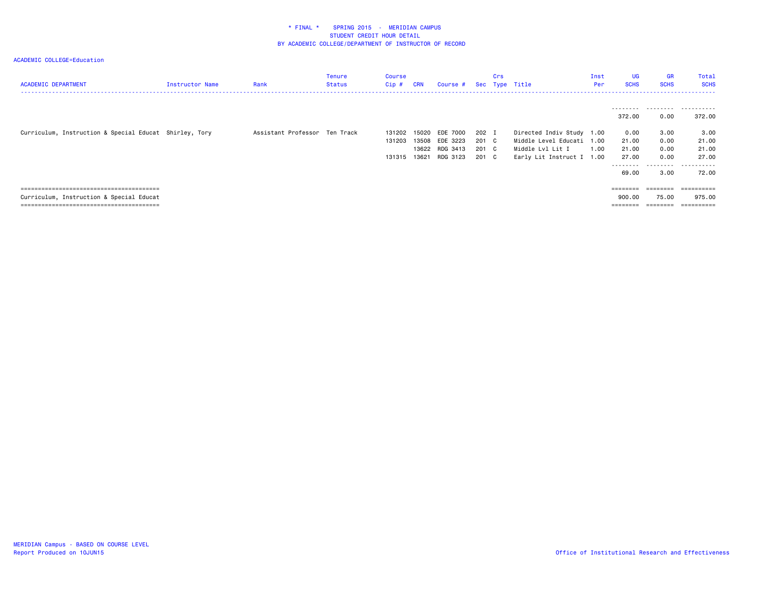| <b>ACADEMIC DEPARTMENT</b>                             | <b>Instructor Name</b> | Rank                          | <b>Tenure</b><br><b>Status</b> | Course<br>$Cip$ #          | <b>CRN</b>              | Course #                                           |                                  | Crs | Sec Type Title                                                                                          | Inst<br>Per | <b>UG</b><br><b>SCHS</b>        | <b>GR</b><br><b>SCHS</b>      | Total<br><b>SCHS</b>                |
|--------------------------------------------------------|------------------------|-------------------------------|--------------------------------|----------------------------|-------------------------|----------------------------------------------------|----------------------------------|-----|---------------------------------------------------------------------------------------------------------|-------------|---------------------------------|-------------------------------|-------------------------------------|
|                                                        |                        |                               |                                |                            |                         |                                                    |                                  |     |                                                                                                         |             | 372.00                          | ---------<br>0.00             | .<br>372.00                         |
| Curriculum, Instruction & Special Educat Shirley, Tory |                        | Assistant Professor Ten Track |                                | 131202<br>131203<br>131315 | 15020<br>13508<br>13621 | EDE 7000<br>EDE 3223<br>13622 RDG 3413<br>RDG 3123 | 202 I<br>201 C<br>201 C<br>201 C |     | Directed Indiv Study 1.00<br>Middle Level Educati 1.00<br>Middle Lvl Lit I<br>Early Lit Instruct I 1.00 | 1.00        | 0.00<br>21.00<br>21.00<br>27.00 | 3.00<br>0.00<br>0.00<br>0.00  | 3.00<br>21.00<br>21.00<br>27.00     |
|                                                        |                        |                               |                                |                            |                         |                                                    |                                  |     |                                                                                                         |             | ---------<br>69.00              | .<br>3.00                     | .<br>72.00                          |
| Curriculum, Instruction & Special Educat               |                        |                               |                                |                            |                         |                                                    |                                  |     |                                                                                                         |             | ========<br>900.00<br>========  | ========<br>75.00<br>======== | ==========<br>975.00<br>----------- |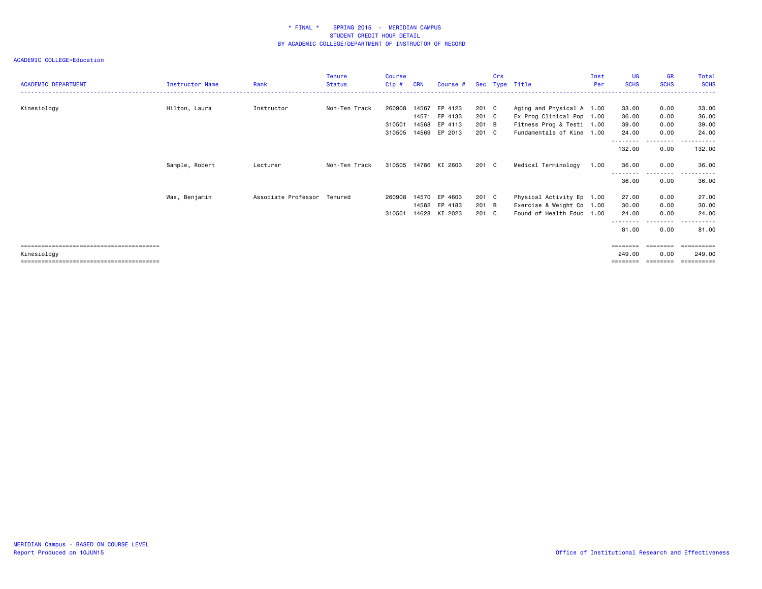|                            |                        |                     | <b>Tenure</b> | Course  |                |                    |                | Crs |                                                        | Inst | <b>UG</b>         | <b>GR</b>         | Total          |
|----------------------------|------------------------|---------------------|---------------|---------|----------------|--------------------|----------------|-----|--------------------------------------------------------|------|-------------------|-------------------|----------------|
| <b>ACADEMIC DEPARTMENT</b> | <b>Instructor Name</b> | Rank                | <b>Status</b> | $Cip$ # | <b>CRN</b>     | Course #           |                |     | Sec Type Title                                         | Per  | <b>SCHS</b>       | <b>SCHS</b>       | <b>SCHS</b>    |
|                            |                        |                     |               |         |                |                    |                |     |                                                        |      |                   |                   |                |
| Kinesiology                | Hilton, Laura          | Instructor          | Non-Ten Track | 260908  | 14567<br>14571 | EP 4123<br>EP 4133 | 201 C<br>201 C |     | Aging and Physical A 1.00<br>Ex Prog Clinical Pop 1.00 |      | 33.00             | 0.00              | 33.00          |
|                            |                        |                     |               | 310501  | 14568          | EP 4113            | 201 B          |     | Fitness Prog & Testi 1.00                              |      | 36.00<br>39.00    | 0.00<br>0.00      | 36.00<br>39.00 |
|                            |                        |                     |               |         |                |                    |                |     |                                                        |      |                   |                   |                |
|                            |                        |                     |               | 310505  | 14569          | EP 2013            | 201 C          |     | Fundamentals of Kine 1.00                              |      | 24.00<br>-------- | 0.00<br>- - - - - | 24.00          |
|                            |                        |                     |               |         |                |                    |                |     |                                                        |      | 132.00            | 0.00              | 132.00         |
|                            | Sample, Robert         | Lecturer            | Non-Ten Track | 310505  |                | 14786 KI 2603      | 201 C          |     | Medical Terminology                                    | 1.00 | 36.00             | 0.00<br>- - - -   | 36.00          |
|                            |                        |                     |               |         |                |                    |                |     |                                                        |      | 36.00             | 0.00              | 36.00          |
|                            | Wax, Benjamin          | Associate Professor | Tenured       | 260908  | 14570          | EP 4603            | 201 C          |     | Physical Activity Ep 1.00                              |      | 27.00             | 0.00              | 27.00          |
|                            |                        |                     |               |         | 14582          | EP 4183            | 201 B          |     | Exercise & Weight Co 1.00                              |      | 30.00             | 0.00              | 30.00          |
|                            |                        |                     |               | 310501  | 14628          | KI 2023            | 201 C          |     | Found of Health Educ 1.00                              |      | 24,00             | 0.00              | 24.00          |
|                            |                        |                     |               |         |                |                    |                |     |                                                        |      | --------<br>81.00 | ---------<br>0.00 | .<br>81.00     |
|                            |                        |                     |               |         |                |                    |                |     |                                                        |      |                   | ========          | ==========     |
| Kinesiology                |                        |                     |               |         |                |                    |                |     |                                                        |      | 249.00            | 0.00              | 249.00         |
|                            |                        |                     |               |         |                |                    |                |     |                                                        |      | ========          | --------          | ==========     |